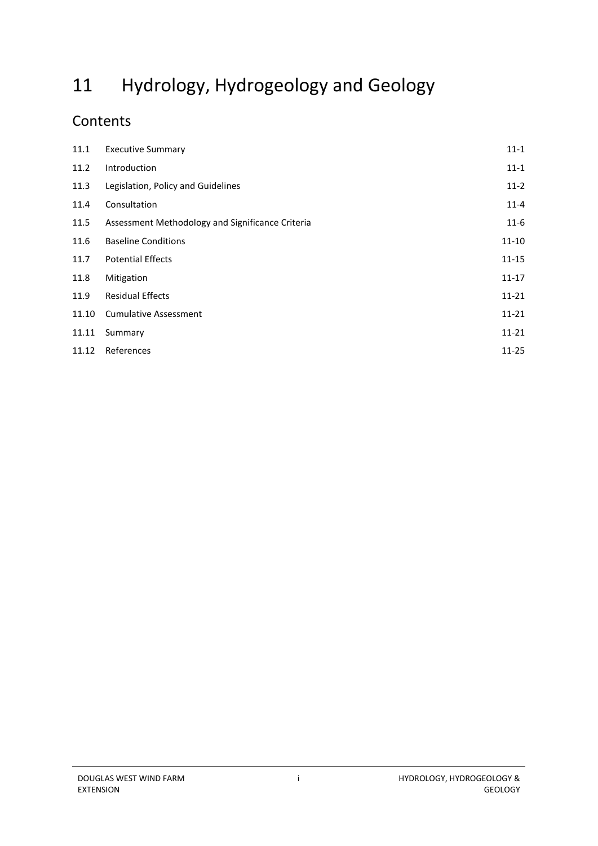# 11 Hydrology, Hydrogeology and Geology

# **Contents**

| <b>Executive Summary</b>                         | $11 - 1$  |
|--------------------------------------------------|-----------|
| Introduction                                     | $11 - 1$  |
| Legislation, Policy and Guidelines               | $11-2$    |
| Consultation                                     | $11 - 4$  |
| Assessment Methodology and Significance Criteria | $11-6$    |
| <b>Baseline Conditions</b>                       | $11 - 10$ |
| <b>Potential Effects</b>                         | $11 - 15$ |
| Mitigation                                       | $11 - 17$ |
| <b>Residual Effects</b>                          | $11 - 21$ |
| <b>Cumulative Assessment</b>                     | $11 - 21$ |
| Summary                                          | $11 - 21$ |
| References                                       | $11 - 25$ |
|                                                  |           |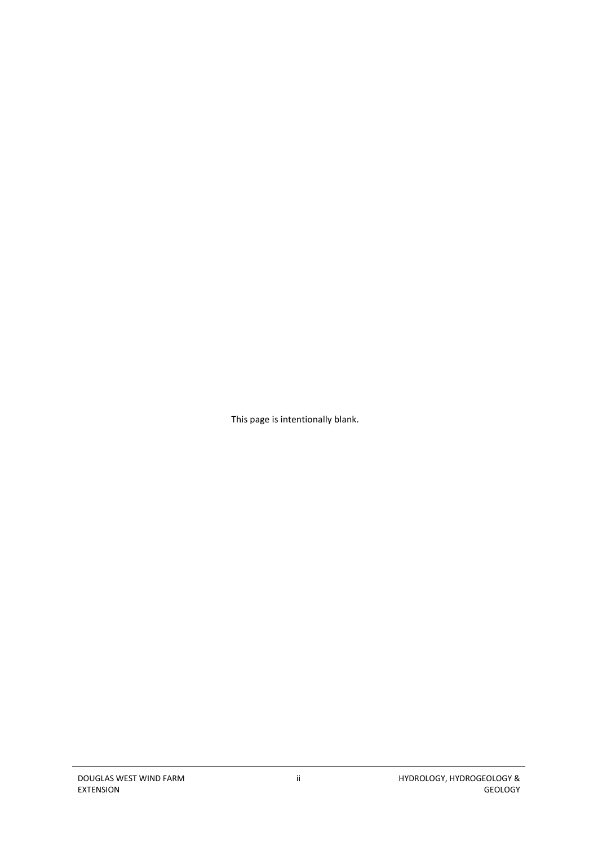This page is intentionally blank.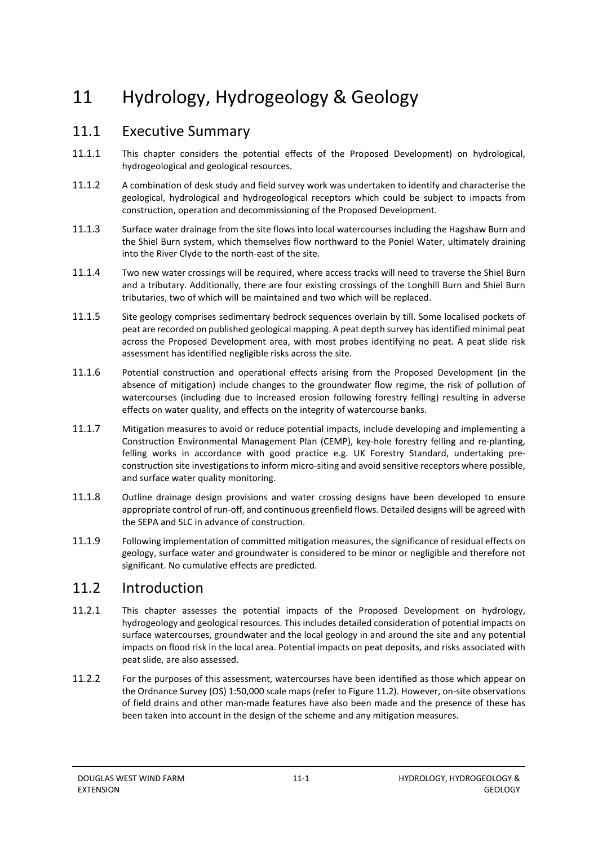# 11 Hydrology, Hydrogeology & Geology

# <span id="page-2-0"></span>11.1 Executive Summary

- 11.1.1 This chapter considers the potential effects of the Proposed Development) on hydrological, hydrogeological and geological resources.
- 11.1.2 A combination of desk study and field survey work was undertaken to identify and characterise the geological, hydrological and hydrogeological receptors which could be subject to impacts from construction, operation and decommissioning of the Proposed Development.
- 11.1.3 Surface water drainage from the site flows into local watercourses including the Hagshaw Burn and the Shiel Burn system, which themselves flow northward to the Poniel Water, ultimately draining into the River Clyde to the north-east of the site.
- 11.1.4 Two new water crossings will be required, where access tracks will need to traverse the Shiel Burn and a tributary. Additionally, there are four existing crossings of the Longhill Burn and Shiel Burn tributaries, two of which will be maintained and two which will be replaced.
- 11.1.5 Site geology comprises sedimentary bedrock sequences overlain by till. Some localised pockets of peat are recorded on published geological mapping. A peat depth survey has identified minimal peat across the Proposed Development area, with most probes identifying no peat. A peat slide risk assessment has identified negligible risks across the site.
- 11.1.6 Potential construction and operational effects arising from the Proposed Development (in the absence of mitigation) include changes to the groundwater flow regime, the risk of pollution of watercourses (including due to increased erosion following forestry felling) resulting in adverse effects on water quality, and effects on the integrity of watercourse banks.
- 11.1.7 Mitigation measures to avoid or reduce potential impacts, include developing and implementing a Construction Environmental Management Plan (CEMP), key-hole forestry felling and re-planting, felling works in accordance with good practice e.g. UK Forestry Standard, undertaking preconstruction site investigations to inform micro-siting and avoid sensitive receptors where possible, and surface water quality monitoring.
- 11.1.8 Outline drainage design provisions and water crossing designs have been developed to ensure appropriate control of run-off, and continuous greenfield flows. Detailed designs will be agreed with the SEPA and SLC in advance of construction.
- 11.1.9 Following implementation of committed mitigation measures, the significance of residual effects on geology, surface water and groundwater is considered to be minor or negligible and therefore not significant. No cumulative effects are predicted.

# <span id="page-2-1"></span>11.2 Introduction

- 11.2.1 This chapter assesses the potential impacts of the Proposed Development on hydrology, hydrogeology and geological resources. This includes detailed consideration of potential impacts on surface watercourses, groundwater and the local geology in and around the site and any potential impacts on flood risk in the local area. Potential impacts on peat deposits, and risks associated with peat slide, are also assessed.
- 11.2.2 For the purposes of this assessment, watercourses have been identified as those which appear on the Ordnance Survey (OS) 1:50,000 scale maps (refer to Figure 11.2). However, on-site observations of field drains and other man-made features have also been made and the presence of these has been taken into account in the design of the scheme and any mitigation measures.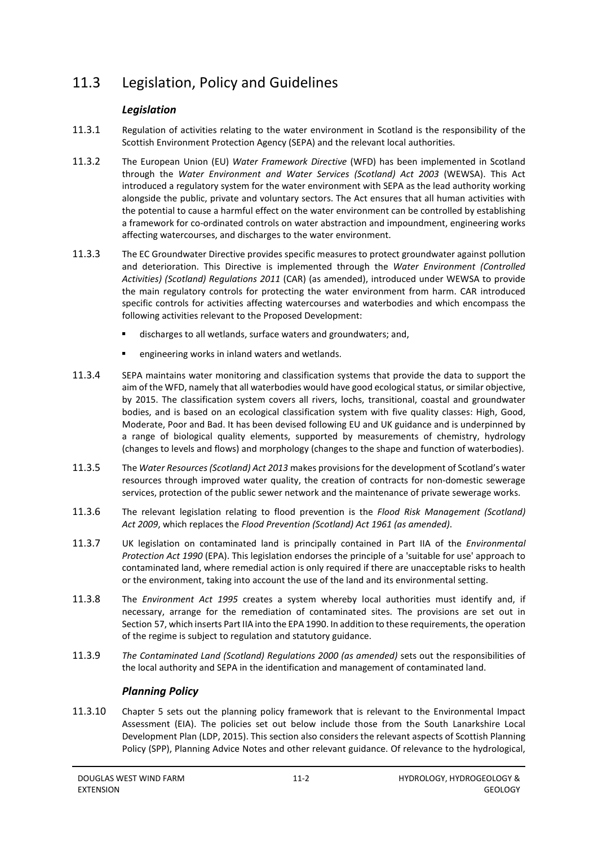# <span id="page-3-0"></span>11.3 Legislation, Policy and Guidelines

# *Legislation*

- 11.3.1 Regulation of activities relating to the water environment in Scotland is the responsibility of the Scottish Environment Protection Agency (SEPA) and the relevant local authorities.
- 11.3.2 The European Union (EU) *Water Framework Directive* (WFD) has been implemented in Scotland through the *Water Environment and Water Services (Scotland) Act 2003* (WEWSA). This Act introduced a regulatory system for the water environment with SEPA as the lead authority working alongside the public, private and voluntary sectors. The Act ensures that all human activities with the potential to cause a harmful effect on the water environment can be controlled by establishing a framework for co-ordinated controls on water abstraction and impoundment, engineering works affecting watercourses, and discharges to the water environment.
- 11.3.3 The EC Groundwater Directive provides specific measures to protect groundwater against pollution and deterioration. This Directive is implemented through the *Water Environment (Controlled Activities) (Scotland) Regulations 2011* (CAR) (as amended), introduced under WEWSA to provide the main regulatory controls for protecting the water environment from harm. CAR introduced specific controls for activities affecting watercourses and waterbodies and which encompass the following activities relevant to the Proposed Development:
	- discharges to all wetlands, surface waters and groundwaters; and,
	- engineering works in inland waters and wetlands.
- 11.3.4 SEPA maintains water monitoring and classification systems that provide the data to support the aim of the WFD, namely that all waterbodies would have good ecological status, or similar objective, by 2015. The classification system covers all rivers, lochs, transitional, coastal and groundwater bodies, and is based on an ecological classification system with five quality classes: High, Good, Moderate, Poor and Bad. It has been devised following EU and UK guidance and is underpinned by a range of biological quality elements, supported by measurements of chemistry, hydrology (changes to levels and flows) and morphology (changes to the shape and function of waterbodies).
- 11.3.5 The *Water Resources (Scotland) Act 2013* makes provisions for the development of Scotland's water resources through improved water quality, the creation of contracts for non-domestic sewerage services, protection of the public sewer network and the maintenance of private sewerage works.
- 11.3.6 The relevant legislation relating to flood prevention is the *Flood Risk Management (Scotland) Act 2009*, which replaces the *Flood Prevention (Scotland) Act 1961 (as amended)*.
- 11.3.7 UK legislation on contaminated land is principally contained in Part IIA of the *Environmental Protection Act 1990* (EPA). This legislation endorses the principle of a 'suitable for use' approach to contaminated land, where remedial action is only required if there are unacceptable risks to health or the environment, taking into account the use of the land and its environmental setting.
- 11.3.8 The *Environment Act 1995* creates a system whereby local authorities must identify and, if necessary, arrange for the remediation of contaminated sites. The provisions are set out in Section 57, which inserts Part IIA into the EPA 1990. In addition to these requirements, the operation of the regime is subject to regulation and statutory guidance.
- 11.3.9 *The Contaminated Land (Scotland) Regulations 2000 (as amended)* sets out the responsibilities of the local authority and SEPA in the identification and management of contaminated land.

# *Planning Policy*

11.3.10 Chapter 5 sets out the planning policy framework that is relevant to the Environmental Impact Assessment (EIA). The policies set out below include those from the South Lanarkshire Local Development Plan (LDP, 2015). This section also considers the relevant aspects of Scottish Planning Policy (SPP), Planning Advice Notes and other relevant guidance. Of relevance to the hydrological,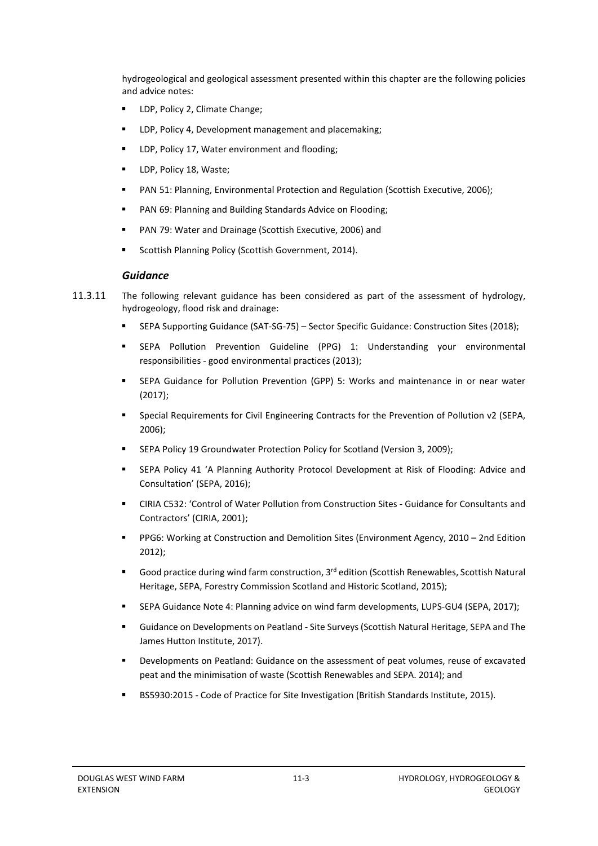hydrogeological and geological assessment presented within this chapter are the following policies and advice notes:

- **LDP, Policy 2, Climate Change:**
- **EXECT** LDP, Policy 4, Development management and placemaking;
- **EXECT:** LDP, Policy 17, Water environment and flooding;
- **LDP, Policy 18, Waste;**
- PAN 51: Planning, Environmental Protection and Regulation (Scottish Executive, 2006);
- PAN 69: Planning and Building Standards Advice on Flooding;
- PAN 79: Water and Drainage (Scottish Executive, 2006) and
- **Scottish Planning Policy (Scottish Government, 2014).**

### *Guidance*

- 11.3.11 The following relevant guidance has been considered as part of the assessment of hydrology, hydrogeology, flood risk and drainage:
	- SEPA Supporting Guidance (SAT-SG-75) Sector Specific Guidance: Construction Sites (2018);
	- SEPA Pollution Prevention Guideline (PPG) 1: Understanding your environmental responsibilities - good environmental practices (2013);
	- SEPA Guidance for Pollution Prevention (GPP) 5: Works and maintenance in or near water (2017);
	- Special Requirements for Civil Engineering Contracts for the Prevention of Pollution v2 (SEPA, 2006);
	- SEPA Policy 19 Groundwater Protection Policy for Scotland (Version 3, 2009);
	- SEPA Policy 41 'A Planning Authority Protocol Development at Risk of Flooding: Advice and Consultation' (SEPA, 2016);
	- CIRIA C532: 'Control of Water Pollution from Construction Sites Guidance for Consultants and Contractors' (CIRIA, 2001);
	- PPG6: Working at Construction and Demolition Sites (Environment Agency, 2010 2nd Edition 2012);
	- Good practice during wind farm construction, 3<sup>rd</sup> edition (Scottish Renewables, Scottish Natural Heritage, SEPA, Forestry Commission Scotland and Historic Scotland, 2015);
	- SEPA Guidance Note 4: Planning advice on wind farm developments, LUPS-GU4 (SEPA, 2017);
	- Guidance on Developments on Peatland Site Surveys (Scottish Natural Heritage, SEPA and The James Hutton Institute, 2017).
	- Developments on Peatland: Guidance on the assessment of peat volumes, reuse of excavated peat and the minimisation of waste (Scottish Renewables and SEPA. 2014); and
	- BS5930:2015 Code of Practice for Site Investigation (British Standards Institute, 2015).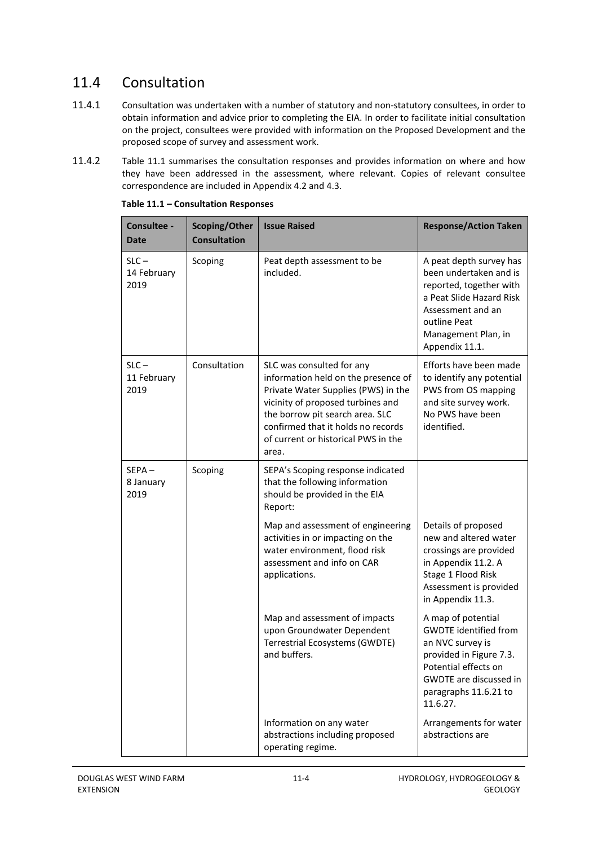# <span id="page-5-0"></span>11.4 Consultation

- 11.4.1 Consultation was undertaken with a number of statutory and non-statutory consultees, in order to obtain information and advice prior to completing the EIA. In order to facilitate initial consultation on the project, consultees were provided with information on the Proposed Development and the proposed scope of survey and assessment work.
- 11.4.2 Table 11.1 summarises the consultation responses and provides information on where and how they have been addressed in the assessment, where relevant. Copies of relevant consultee correspondence are included in Appendix 4.2 and 4.3.

| Consultee -<br><b>Date</b>     | Scoping/Other<br><b>Consultation</b> | <b>Issue Raised</b>                                                                                                                                                                                                                                                   | <b>Response/Action Taken</b>                                                                                                                                                                    |
|--------------------------------|--------------------------------------|-----------------------------------------------------------------------------------------------------------------------------------------------------------------------------------------------------------------------------------------------------------------------|-------------------------------------------------------------------------------------------------------------------------------------------------------------------------------------------------|
| $SLC -$<br>14 February<br>2019 | Scoping                              | Peat depth assessment to be<br>included.                                                                                                                                                                                                                              | A peat depth survey has<br>been undertaken and is<br>reported, together with<br>a Peat Slide Hazard Risk<br>Assessment and an<br>outline Peat<br>Management Plan, in<br>Appendix 11.1.          |
| $SLC -$<br>11 February<br>2019 | Consultation                         | SLC was consulted for any<br>information held on the presence of<br>Private Water Supplies (PWS) in the<br>vicinity of proposed turbines and<br>the borrow pit search area. SLC<br>confirmed that it holds no records<br>of current or historical PWS in the<br>area. | Efforts have been made<br>to identify any potential<br>PWS from OS mapping<br>and site survey work.<br>No PWS have been<br>identified.                                                          |
| $SEPA -$<br>8 January<br>2019  | Scoping                              | SEPA's Scoping response indicated<br>that the following information<br>should be provided in the EIA<br>Report:                                                                                                                                                       |                                                                                                                                                                                                 |
|                                |                                      | Map and assessment of engineering<br>activities in or impacting on the<br>water environment, flood risk<br>assessment and info on CAR<br>applications.                                                                                                                | Details of proposed<br>new and altered water<br>crossings are provided<br>in Appendix 11.2. A<br>Stage 1 Flood Risk<br>Assessment is provided<br>in Appendix 11.3.                              |
|                                |                                      | Map and assessment of impacts<br>upon Groundwater Dependent<br>Terrestrial Ecosystems (GWDTE)<br>and buffers.                                                                                                                                                         | A map of potential<br><b>GWDTE</b> identified from<br>an NVC survey is<br>provided in Figure 7.3.<br>Potential effects on<br><b>GWDTE</b> are discussed in<br>paragraphs 11.6.21 to<br>11.6.27. |
|                                |                                      | Information on any water<br>abstractions including proposed<br>operating regime.                                                                                                                                                                                      | Arrangements for water<br>abstractions are                                                                                                                                                      |

### **Table 11.1 – Consultation Responses**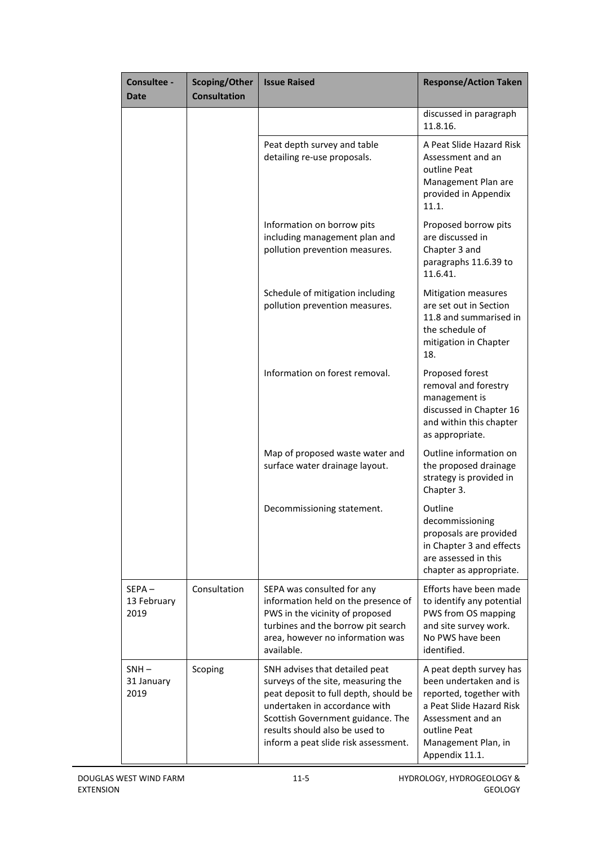| Consultee -<br><b>Date</b>      | <b>Scoping/Other</b><br><b>Consultation</b> | <b>Issue Raised</b>                                                                                                                                                                                                                                           | <b>Response/Action Taken</b>                                                                                                                                                           |
|---------------------------------|---------------------------------------------|---------------------------------------------------------------------------------------------------------------------------------------------------------------------------------------------------------------------------------------------------------------|----------------------------------------------------------------------------------------------------------------------------------------------------------------------------------------|
|                                 |                                             |                                                                                                                                                                                                                                                               | discussed in paragraph<br>11.8.16.                                                                                                                                                     |
|                                 |                                             | Peat depth survey and table<br>detailing re-use proposals.                                                                                                                                                                                                    | A Peat Slide Hazard Risk<br>Assessment and an<br>outline Peat<br>Management Plan are<br>provided in Appendix<br>11.1.                                                                  |
|                                 |                                             | Information on borrow pits<br>including management plan and<br>pollution prevention measures.                                                                                                                                                                 | Proposed borrow pits<br>are discussed in<br>Chapter 3 and<br>paragraphs 11.6.39 to<br>11.6.41.                                                                                         |
|                                 |                                             | Schedule of mitigation including<br>pollution prevention measures.                                                                                                                                                                                            | <b>Mitigation measures</b><br>are set out in Section<br>11.8 and summarised in<br>the schedule of<br>mitigation in Chapter<br>18.                                                      |
|                                 |                                             | Information on forest removal.                                                                                                                                                                                                                                | Proposed forest<br>removal and forestry<br>management is<br>discussed in Chapter 16<br>and within this chapter<br>as appropriate.                                                      |
|                                 |                                             | Map of proposed waste water and<br>surface water drainage layout.                                                                                                                                                                                             | Outline information on<br>the proposed drainage<br>strategy is provided in<br>Chapter 3.                                                                                               |
|                                 |                                             | Decommissioning statement.                                                                                                                                                                                                                                    | Outline<br>decommissioning<br>proposals are provided<br>in Chapter 3 and effects<br>are assessed in this<br>chapter as appropriate.                                                    |
| $SEPA -$<br>13 February<br>2019 | Consultation                                | SEPA was consulted for any<br>information held on the presence of<br>PWS in the vicinity of proposed<br>turbines and the borrow pit search<br>area, however no information was<br>available.                                                                  | Efforts have been made<br>to identify any potential<br>PWS from OS mapping<br>and site survey work.<br>No PWS have been<br>identified.                                                 |
| $SNH -$<br>31 January<br>2019   | Scoping                                     | SNH advises that detailed peat<br>surveys of the site, measuring the<br>peat deposit to full depth, should be<br>undertaken in accordance with<br>Scottish Government guidance. The<br>results should also be used to<br>inform a peat slide risk assessment. | A peat depth survey has<br>been undertaken and is<br>reported, together with<br>a Peat Slide Hazard Risk<br>Assessment and an<br>outline Peat<br>Management Plan, in<br>Appendix 11.1. |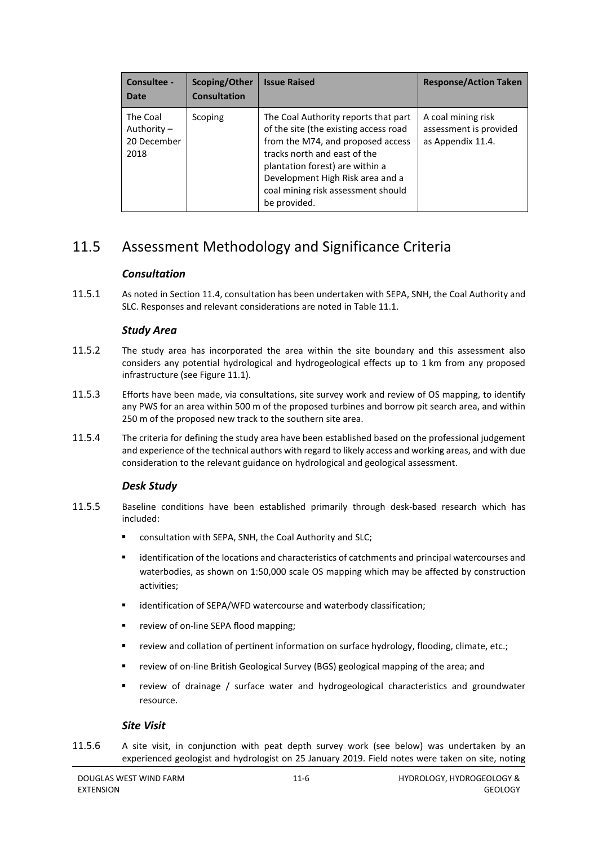| Consultee -<br>Date                              | Scoping/Other<br><b>Consultation</b> | <b>Issue Raised</b>                                                                                                                                                                                                                                                             | <b>Response/Action Taken</b>                                      |
|--------------------------------------------------|--------------------------------------|---------------------------------------------------------------------------------------------------------------------------------------------------------------------------------------------------------------------------------------------------------------------------------|-------------------------------------------------------------------|
| The Coal<br>Authority $-$<br>20 December<br>2018 | Scoping                              | The Coal Authority reports that part<br>of the site (the existing access road<br>from the M74, and proposed access<br>tracks north and east of the<br>plantation forest) are within a<br>Development High Risk area and a<br>coal mining risk assessment should<br>be provided. | A coal mining risk<br>assessment is provided<br>as Appendix 11.4. |

# <span id="page-7-0"></span>11.5 Assessment Methodology and Significance Criteria

# *Consultation*

11.5.1 As noted in Section 11.4, consultation has been undertaken with SEPA, SNH, the Coal Authority and SLC. Responses and relevant considerations are noted in Table 11.1.

# *Study Area*

- 11.5.2 The study area has incorporated the area within the site boundary and this assessment also considers any potential hydrological and hydrogeological effects up to 1 km from any proposed infrastructure (see Figure 11.1).
- 11.5.3 Efforts have been made, via consultations, site survey work and review of OS mapping, to identify any PWS for an area within 500 m of the proposed turbines and borrow pit search area, and within 250 m of the proposed new track to the southern site area.
- 11.5.4 The criteria for defining the study area have been established based on the professional judgement and experience of the technical authors with regard to likely access and working areas, and with due consideration to the relevant guidance on hydrological and geological assessment.

# *Desk Study*

- 11.5.5 Baseline conditions have been established primarily through desk-based research which has included:
	- consultation with SEPA, SNH, the Coal Authority and SLC;
	- identification of the locations and characteristics of catchments and principal watercourses and waterbodies, as shown on 1:50,000 scale OS mapping which may be affected by construction activities;
	- identification of SEPA/WFD watercourse and waterbody classification;
	- **•** review of on-line SEPA flood mapping;
	- review and collation of pertinent information on surface hydrology, flooding, climate, etc.;
	- review of on-line British Geological Survey (BGS) geological mapping of the area; and
	- review of drainage / surface water and hydrogeological characteristics and groundwater resource.

# *Site Visit*

11.5.6 A site visit, in conjunction with peat depth survey work (see below) was undertaken by an experienced geologist and hydrologist on 25 January 2019. Field notes were taken on site, noting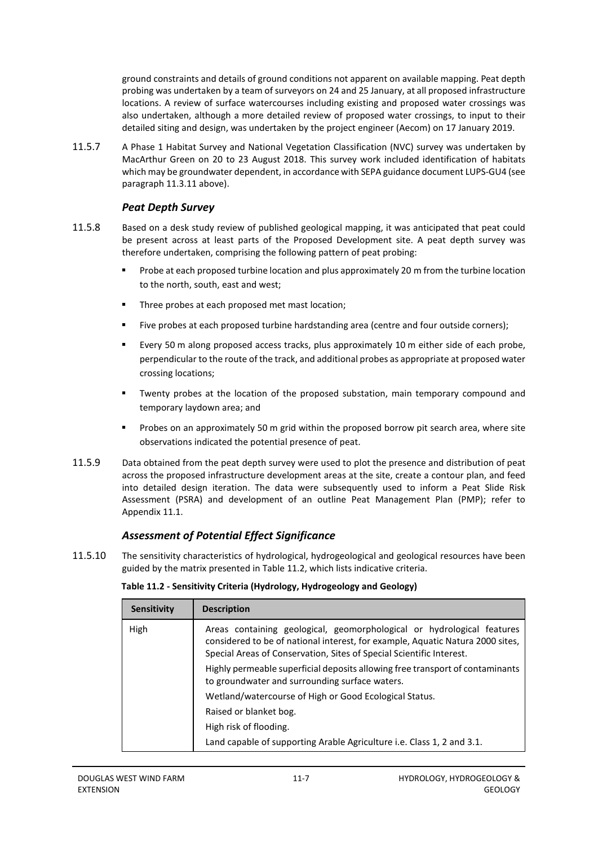ground constraints and details of ground conditions not apparent on available mapping. Peat depth probing was undertaken by a team of surveyors on 24 and 25 January, at all proposed infrastructure locations. A review of surface watercourses including existing and proposed water crossings was also undertaken, although a more detailed review of proposed water crossings, to input to their detailed siting and design, was undertaken by the project engineer (Aecom) on 17 January 2019.

11.5.7 A Phase 1 Habitat Survey and National Vegetation Classification (NVC) survey was undertaken by MacArthur Green on 20 to 23 August 2018. This survey work included identification of habitats which may be groundwater dependent, in accordance with SEPA guidance document LUPS-GU4 (see paragraph 11.3.11 above).

# *Peat Depth Survey*

- 11.5.8 Based on a desk study review of published geological mapping, it was anticipated that peat could be present across at least parts of the Proposed Development site. A peat depth survey was therefore undertaken, comprising the following pattern of peat probing:
	- **Probe at each proposed turbine location and plus approximately 20 m from the turbine location** to the north, south, east and west;
	- **Three probes at each proposed met mast location:**
	- Five probes at each proposed turbine hardstanding area (centre and four outside corners);
	- Every 50 m along proposed access tracks, plus approximately 10 m either side of each probe, perpendicular to the route of the track, and additional probes as appropriate at proposed water crossing locations;
	- Twenty probes at the location of the proposed substation, main temporary compound and temporary laydown area; and
	- Probes on an approximately 50 m grid within the proposed borrow pit search area, where site observations indicated the potential presence of peat.
- 11.5.9 Data obtained from the peat depth survey were used to plot the presence and distribution of peat across the proposed infrastructure development areas at the site, create a contour plan, and feed into detailed design iteration. The data were subsequently used to inform a Peat Slide Risk Assessment (PSRA) and development of an outline Peat Management Plan (PMP); refer to Appendix 11.1.

# *Assessment of Potential Effect Significance*

11.5.10 The sensitivity characteristics of hydrological, hydrogeological and geological resources have been guided by the matrix presented in Table 11.2, which lists indicative criteria.

| Sensitivity | <b>Description</b>                                                                                                                                                                                                               |
|-------------|----------------------------------------------------------------------------------------------------------------------------------------------------------------------------------------------------------------------------------|
| High        | Areas containing geological, geomorphological or hydrological features<br>considered to be of national interest, for example, Aquatic Natura 2000 sites,<br>Special Areas of Conservation, Sites of Special Scientific Interest. |
|             | Highly permeable superficial deposits allowing free transport of contaminants<br>to groundwater and surrounding surface waters.                                                                                                  |
|             | Wetland/watercourse of High or Good Ecological Status.                                                                                                                                                                           |
|             | Raised or blanket bog.                                                                                                                                                                                                           |
|             | High risk of flooding.                                                                                                                                                                                                           |
|             | Land capable of supporting Arable Agriculture i.e. Class 1, 2 and 3.1.                                                                                                                                                           |

#### **Table 11.2 - Sensitivity Criteria (Hydrology, Hydrogeology and Geology)**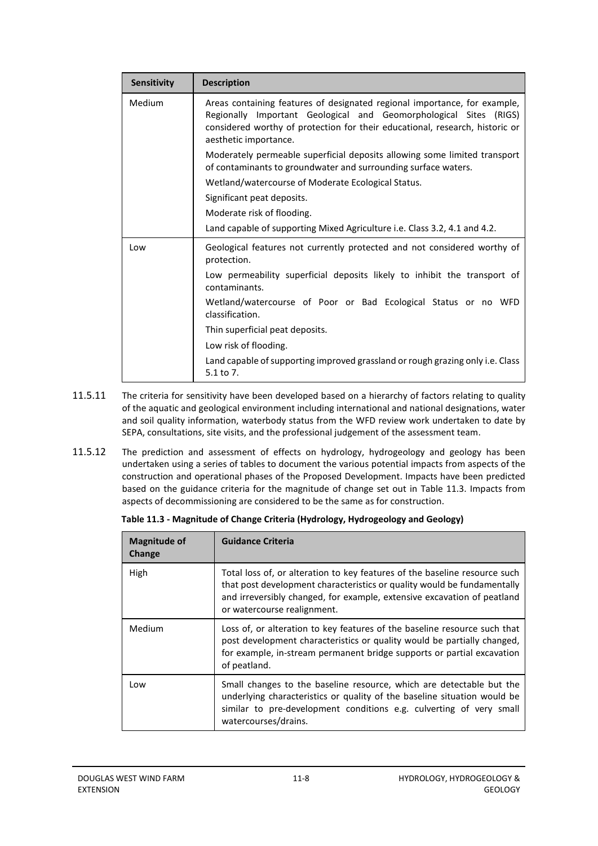| Sensitivity | <b>Description</b>                                                                                                                                                                                                                                      |  |  |  |  |  |  |
|-------------|---------------------------------------------------------------------------------------------------------------------------------------------------------------------------------------------------------------------------------------------------------|--|--|--|--|--|--|
| Medium      | Areas containing features of designated regional importance, for example,<br>Regionally Important Geological and Geomorphological Sites (RIGS)<br>considered worthy of protection for their educational, research, historic or<br>aesthetic importance. |  |  |  |  |  |  |
|             | Moderately permeable superficial deposits allowing some limited transport<br>of contaminants to groundwater and surrounding surface waters.                                                                                                             |  |  |  |  |  |  |
|             | Wetland/watercourse of Moderate Ecological Status.                                                                                                                                                                                                      |  |  |  |  |  |  |
|             | Significant peat deposits.                                                                                                                                                                                                                              |  |  |  |  |  |  |
|             | Moderate risk of flooding.                                                                                                                                                                                                                              |  |  |  |  |  |  |
|             | Land capable of supporting Mixed Agriculture i.e. Class 3.2, 4.1 and 4.2.                                                                                                                                                                               |  |  |  |  |  |  |
| Low         | Geological features not currently protected and not considered worthy of<br>protection.                                                                                                                                                                 |  |  |  |  |  |  |
|             | Low permeability superficial deposits likely to inhibit the transport of<br>contaminants.                                                                                                                                                               |  |  |  |  |  |  |
|             | Wetland/watercourse of Poor or Bad Ecological Status or no WFD<br>classification.                                                                                                                                                                       |  |  |  |  |  |  |
|             | Thin superficial peat deposits.                                                                                                                                                                                                                         |  |  |  |  |  |  |
|             | Low risk of flooding.                                                                                                                                                                                                                                   |  |  |  |  |  |  |
|             | Land capable of supporting improved grassland or rough grazing only i.e. Class<br>5.1 to 7.                                                                                                                                                             |  |  |  |  |  |  |

- 11.5.11 The criteria for sensitivity have been developed based on a hierarchy of factors relating to quality of the aquatic and geological environment including international and national designations, water and soil quality information, waterbody status from the WFD review work undertaken to date by SEPA, consultations, site visits, and the professional judgement of the assessment team.
- 11.5.12 The prediction and assessment of effects on hydrology, hydrogeology and geology has been undertaken using a series of tables to document the various potential impacts from aspects of the construction and operational phases of the Proposed Development. Impacts have been predicted based on the guidance criteria for the magnitude of change set out in Table 11.3. Impacts from aspects of decommissioning are considered to be the same as for construction.

| <b>Magnitude of</b><br>Change | <b>Guidance Criteria</b>                                                                                                                                                                                                                                        |
|-------------------------------|-----------------------------------------------------------------------------------------------------------------------------------------------------------------------------------------------------------------------------------------------------------------|
| High                          | Total loss of, or alteration to key features of the baseline resource such<br>that post development characteristics or quality would be fundamentally<br>and irreversibly changed, for example, extensive excavation of peatland<br>or watercourse realignment. |
| Medium                        | Loss of, or alteration to key features of the baseline resource such that<br>post development characteristics or quality would be partially changed,<br>for example, in-stream permanent bridge supports or partial excavation<br>of peatland.                  |
| Low                           | Small changes to the baseline resource, which are detectable but the<br>underlying characteristics or quality of the baseline situation would be<br>similar to pre-development conditions e.g. culverting of very small<br>watercourses/drains.                 |

|  |  | Table 11.3 - Magnitude of Change Criteria (Hydrology, Hydrogeology and Geology) |  |
|--|--|---------------------------------------------------------------------------------|--|
|  |  |                                                                                 |  |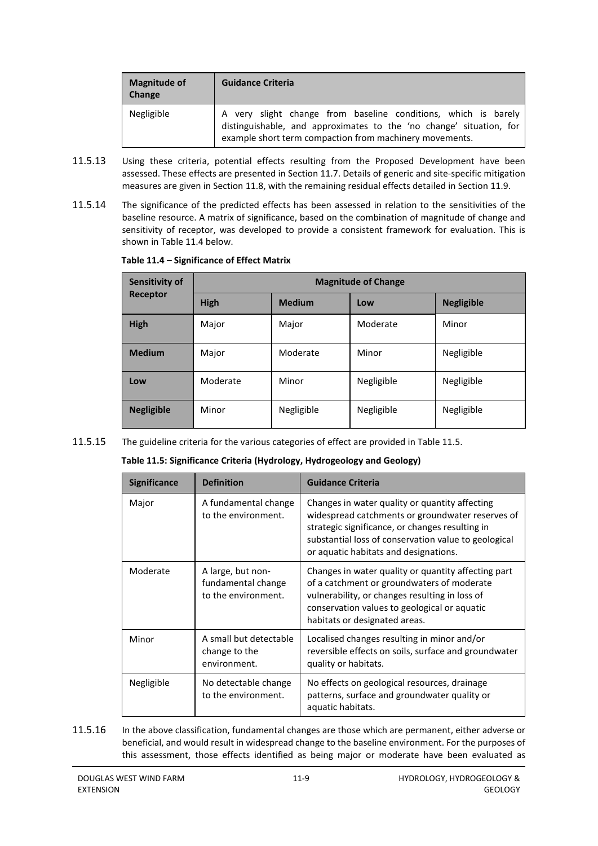| <b>Magnitude of</b><br>Change | <b>Guidance Criteria</b>                                                                                                                                                                         |
|-------------------------------|--------------------------------------------------------------------------------------------------------------------------------------------------------------------------------------------------|
| Negligible                    | A very slight change from baseline conditions, which is barely<br>distinguishable, and approximates to the 'no change' situation, for<br>example short term compaction from machinery movements. |

- 11.5.13 Using these criteria, potential effects resulting from the Proposed Development have been assessed. These effects are presented in Section 11.7. Details of generic and site-specific mitigation measures are given in Section 11.8, with the remaining residual effects detailed in Section 11.9.
- 11.5.14 The significance of the predicted effects has been assessed in relation to the sensitivities of the baseline resource. A matrix of significance, based on the combination of magnitude of change and sensitivity of receptor, was developed to provide a consistent framework for evaluation. This is shown in Table 11.4 below.

| Sensitivity of<br>Receptor | <b>Magnitude of Change</b> |               |            |                   |
|----------------------------|----------------------------|---------------|------------|-------------------|
|                            | <b>High</b>                | <b>Medium</b> | Low        | <b>Negligible</b> |
| <b>High</b>                | Major                      | Major         | Moderate   | Minor             |
| <b>Medium</b>              | Major                      | Moderate      | Minor      | Negligible        |
| Low                        | Moderate                   | Minor         | Negligible | Negligible        |
| <b>Negligible</b>          | Minor                      | Negligible    | Negligible | Negligible        |

#### **Table 11.4 – Significance of Effect Matrix**

11.5.15 The guideline criteria for the various categories of effect are provided in Table 11.5.

**Table 11.5: Significance Criteria (Hydrology, Hydrogeology and Geology)**

| <b>Significance</b> | <b>Definition</b>                                              | <b>Guidance Criteria</b>                                                                                                                                                                                                                               |
|---------------------|----------------------------------------------------------------|--------------------------------------------------------------------------------------------------------------------------------------------------------------------------------------------------------------------------------------------------------|
| Major               | A fundamental change<br>to the environment.                    | Changes in water quality or quantity affecting<br>widespread catchments or groundwater reserves of<br>strategic significance, or changes resulting in<br>substantial loss of conservation value to geological<br>or aquatic habitats and designations. |
| Moderate            | A large, but non-<br>fundamental change<br>to the environment. | Changes in water quality or quantity affecting part<br>of a catchment or groundwaters of moderate<br>vulnerability, or changes resulting in loss of<br>conservation values to geological or aquatic<br>habitats or designated areas.                   |
| Minor               | A small but detectable<br>change to the<br>environment.        | Localised changes resulting in minor and/or<br>reversible effects on soils, surface and groundwater<br>quality or habitats.                                                                                                                            |
| Negligible          | No detectable change<br>to the environment.                    | No effects on geological resources, drainage<br>patterns, surface and groundwater quality or<br>aquatic habitats.                                                                                                                                      |

11.5.16 In the above classification, fundamental changes are those which are permanent, either adverse or beneficial, and would result in widespread change to the baseline environment. For the purposes of this assessment, those effects identified as being major or moderate have been evaluated as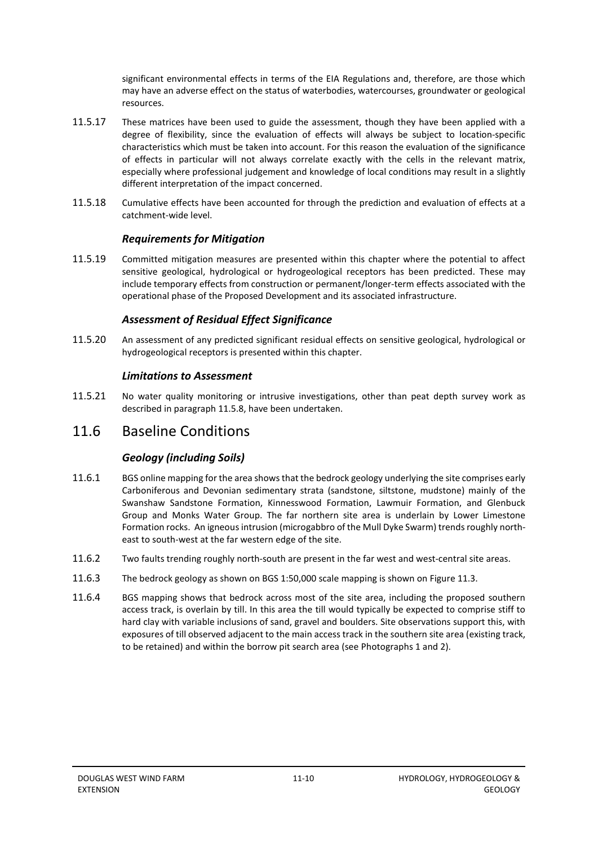significant environmental effects in terms of the EIA Regulations and, therefore, are those which may have an adverse effect on the status of waterbodies, watercourses, groundwater or geological resources.

- 11.5.17 These matrices have been used to guide the assessment, though they have been applied with a degree of flexibility, since the evaluation of effects will always be subject to location-specific characteristics which must be taken into account. For this reason the evaluation of the significance of effects in particular will not always correlate exactly with the cells in the relevant matrix, especially where professional judgement and knowledge of local conditions may result in a slightly different interpretation of the impact concerned.
- 11.5.18 Cumulative effects have been accounted for through the prediction and evaluation of effects at a catchment-wide level.

# *Requirements for Mitigation*

11.5.19 Committed mitigation measures are presented within this chapter where the potential to affect sensitive geological, hydrological or hydrogeological receptors has been predicted. These may include temporary effects from construction or permanent/longer-term effects associated with the operational phase of the Proposed Development and its associated infrastructure.

# *Assessment of Residual Effect Significance*

11.5.20 An assessment of any predicted significant residual effects on sensitive geological, hydrological or hydrogeological receptors is presented within this chapter.

# *Limitations to Assessment*

11.5.21 No water quality monitoring or intrusive investigations, other than peat depth survey work as described in paragraph 11.5.8, have been undertaken.

# <span id="page-11-0"></span>11.6 Baseline Conditions

# *Geology (including Soils)*

- 11.6.1 BGS online mapping for the area shows that the bedrock geology underlying the site comprises early Carboniferous and Devonian sedimentary strata (sandstone, siltstone, mudstone) mainly of the Swanshaw Sandstone Formation, Kinnesswood Formation, Lawmuir Formation, and Glenbuck Group and Monks Water Group. The far northern site area is underlain by Lower Limestone Formation rocks. An igneous intrusion (microgabbro of the Mull Dyke Swarm) trends roughly northeast to south-west at the far western edge of the site.
- 11.6.2 Two faults trending roughly north-south are present in the far west and west-central site areas.
- 11.6.3 The bedrock geology as shown on BGS 1:50,000 scale mapping is shown on Figure 11.3.
- 11.6.4 BGS mapping shows that bedrock across most of the site area, including the proposed southern access track, is overlain by till. In this area the till would typically be expected to comprise stiff to hard clay with variable inclusions of sand, gravel and boulders. Site observations support this, with exposures of till observed adjacent to the main access track in the southern site area (existing track, to be retained) and within the borrow pit search area (see Photographs 1 and 2).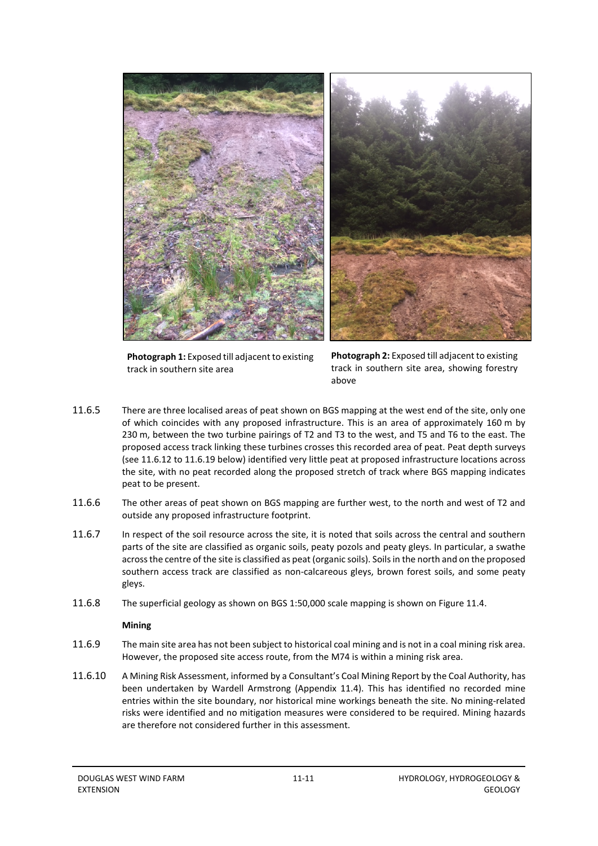

**Photograph 1:** Exposed till adjacent to existing track in southern site area

**Photograph 2:** Exposed till adjacent to existing track in southern site area, showing forestry above

- 11.6.5 There are three localised areas of peat shown on BGS mapping at the west end of the site, only one of which coincides with any proposed infrastructure. This is an area of approximately 160 m by 230 m, between the two turbine pairings of T2 and T3 to the west, and T5 and T6 to the east. The proposed access track linking these turbines crosses this recorded area of peat. Peat depth surveys (see 11.6.12 to 11.6.19 below) identified very little peat at proposed infrastructure locations across the site, with no peat recorded along the proposed stretch of track where BGS mapping indicates peat to be present.
- 11.6.6 The other areas of peat shown on BGS mapping are further west, to the north and west of T2 and outside any proposed infrastructure footprint.
- 11.6.7 In respect of the soil resource across the site, it is noted that soils across the central and southern parts of the site are classified as organic soils, peaty pozols and peaty gleys. In particular, a swathe across the centre of the site is classified as peat (organic soils). Soils in the north and on the proposed southern access track are classified as non-calcareous gleys, brown forest soils, and some peaty gleys.
- 11.6.8 The superficial geology as shown on BGS 1:50,000 scale mapping is shown on Figure 11.4.

#### **Mining**

- 11.6.9 The main site area has not been subject to historical coal mining and is not in a coal mining risk area. However, the proposed site access route, from the M74 is within a mining risk area.
- 11.6.10 A Mining Risk Assessment, informed by a Consultant's Coal Mining Report by the Coal Authority, has been undertaken by Wardell Armstrong (Appendix 11.4). This has identified no recorded mine entries within the site boundary, nor historical mine workings beneath the site. No mining-related risks were identified and no mitigation measures were considered to be required. Mining hazards are therefore not considered further in this assessment.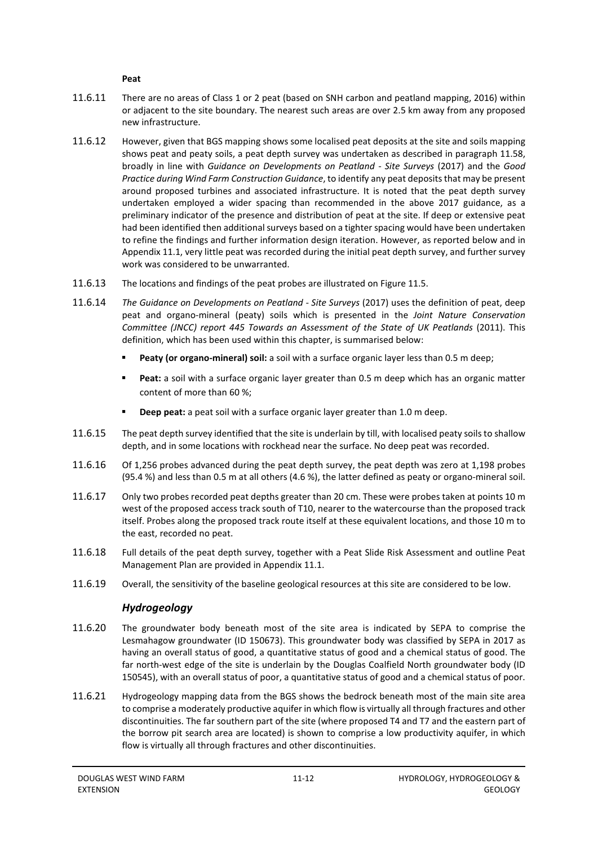#### **Peat**

- 11.6.11 There are no areas of Class 1 or 2 peat (based on SNH carbon and peatland mapping, 2016) within or adjacent to the site boundary. The nearest such areas are over 2.5 km away from any proposed new infrastructure.
- 11.6.12 However, given that BGS mapping shows some localised peat deposits at the site and soils mapping shows peat and peaty soils, a peat depth survey was undertaken as described in paragraph 11.58, broadly in line with *Guidance on Developments on Peatland - Site Surveys* (2017) and the *Good Practice during Wind Farm Construction Guidance*, to identify any peat deposits that may be present around proposed turbines and associated infrastructure. It is noted that the peat depth survey undertaken employed a wider spacing than recommended in the above 2017 guidance, as a preliminary indicator of the presence and distribution of peat at the site. If deep or extensive peat had been identified then additional surveys based on a tighter spacing would have been undertaken to refine the findings and further information design iteration. However, as reported below and in Appendix 11.1, very little peat was recorded during the initial peat depth survey, and further survey work was considered to be unwarranted.
- 11.6.13 The locations and findings of the peat probes are illustrated on Figure 11.5.
- 11.6.14 *The Guidance on Developments on Peatland - Site Surveys* (2017) uses the definition of peat, deep peat and organo-mineral (peaty) soils which is presented in the *Joint Nature Conservation Committee (JNCC) report 445 Towards an Assessment of the State of UK Peatlands* (2011). This definition, which has been used within this chapter, is summarised below:
	- **Peaty (or organo-mineral) soil:** a soil with a surface organic layer less than 0.5 m deep;
	- **Peat:** a soil with a surface organic layer greater than 0.5 m deep which has an organic matter content of more than 60 %;
	- **Deep peat:** a peat soil with a surface organic layer greater than 1.0 m deep.
- 11.6.15 The peat depth survey identified that the site is underlain by till, with localised peaty soils to shallow depth, and in some locations with rockhead near the surface. No deep peat was recorded.
- 11.6.16 Of 1,256 probes advanced during the peat depth survey, the peat depth was zero at 1,198 probes (95.4 %) and less than 0.5 m at all others (4.6 %), the latter defined as peaty or organo-mineral soil.
- 11.6.17 Only two probes recorded peat depths greater than 20 cm. These were probes taken at points 10 m west of the proposed access track south of T10, nearer to the watercourse than the proposed track itself. Probes along the proposed track route itself at these equivalent locations, and those 10 m to the east, recorded no peat.
- 11.6.18 Full details of the peat depth survey, together with a Peat Slide Risk Assessment and outline Peat Management Plan are provided in Appendix 11.1.
- 11.6.19 Overall, the sensitivity of the baseline geological resources at this site are considered to be low.

# *Hydrogeology*

- 11.6.20 The groundwater body beneath most of the site area is indicated by SEPA to comprise the Lesmahagow groundwater (ID 150673). This groundwater body was classified by SEPA in 2017 as having an overall status of good, a quantitative status of good and a chemical status of good. The far north-west edge of the site is underlain by the Douglas Coalfield North groundwater body (ID 150545), with an overall status of poor, a quantitative status of good and a chemical status of poor.
- 11.6.21 Hydrogeology mapping data from the BGS shows the bedrock beneath most of the main site area to comprise a moderately productive aquifer in which flow is virtually all through fractures and other discontinuities. The far southern part of the site (where proposed T4 and T7 and the eastern part of the borrow pit search area are located) is shown to comprise a low productivity aquifer, in which flow is virtually all through fractures and other discontinuities.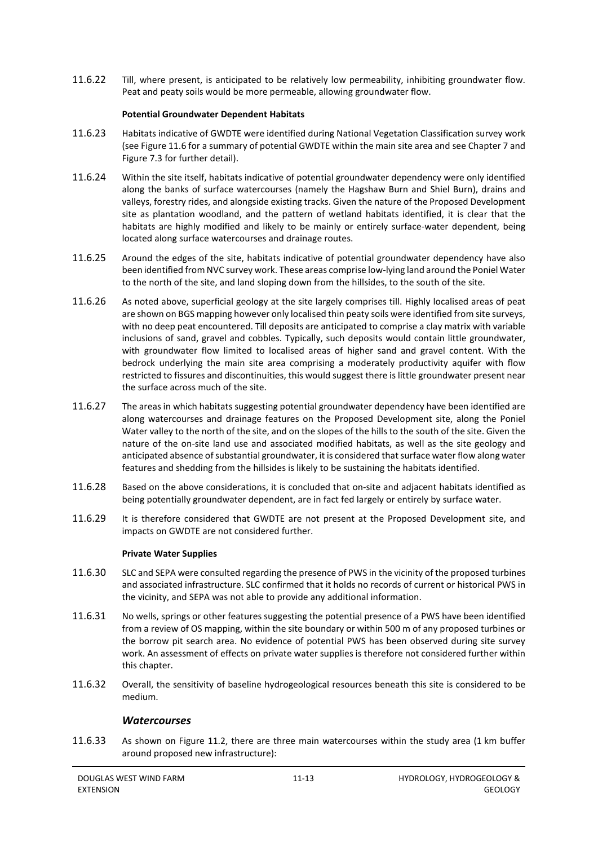11.6.22 Till, where present, is anticipated to be relatively low permeability, inhibiting groundwater flow. Peat and peaty soils would be more permeable, allowing groundwater flow.

#### **Potential Groundwater Dependent Habitats**

- 11.6.23 Habitats indicative of GWDTE were identified during National Vegetation Classification survey work (see Figure 11.6 for a summary of potential GWDTE within the main site area and see Chapter 7 and Figure 7.3 for further detail).
- 11.6.24 Within the site itself, habitats indicative of potential groundwater dependency were only identified along the banks of surface watercourses (namely the Hagshaw Burn and Shiel Burn), drains and valleys, forestry rides, and alongside existing tracks. Given the nature of the Proposed Development site as plantation woodland, and the pattern of wetland habitats identified, it is clear that the habitats are highly modified and likely to be mainly or entirely surface-water dependent, being located along surface watercourses and drainage routes.
- 11.6.25 Around the edges of the site, habitats indicative of potential groundwater dependency have also been identified from NVC survey work. These areas comprise low-lying land around the Poniel Water to the north of the site, and land sloping down from the hillsides, to the south of the site.
- 11.6.26 As noted above, superficial geology at the site largely comprises till. Highly localised areas of peat are shown on BGS mapping however only localised thin peaty soils were identified from site surveys, with no deep peat encountered. Till deposits are anticipated to comprise a clay matrix with variable inclusions of sand, gravel and cobbles. Typically, such deposits would contain little groundwater, with groundwater flow limited to localised areas of higher sand and gravel content. With the bedrock underlying the main site area comprising a moderately productivity aquifer with flow restricted to fissures and discontinuities, this would suggest there is little groundwater present near the surface across much of the site.
- 11.6.27 The areas in which habitats suggesting potential groundwater dependency have been identified are along watercourses and drainage features on the Proposed Development site, along the Poniel Water valley to the north of the site, and on the slopes of the hills to the south of the site. Given the nature of the on-site land use and associated modified habitats, as well as the site geology and anticipated absence of substantial groundwater, it is considered that surface water flow along water features and shedding from the hillsides is likely to be sustaining the habitats identified.
- 11.6.28 Based on the above considerations, it is concluded that on-site and adjacent habitats identified as being potentially groundwater dependent, are in fact fed largely or entirely by surface water.
- 11.6.29 It is therefore considered that GWDTE are not present at the Proposed Development site, and impacts on GWDTE are not considered further.

#### **Private Water Supplies**

- 11.6.30 SLC and SEPA were consulted regarding the presence of PWS in the vicinity of the proposed turbines and associated infrastructure. SLC confirmed that it holds no records of current or historical PWS in the vicinity, and SEPA was not able to provide any additional information.
- 11.6.31 No wells, springs or other features suggesting the potential presence of a PWS have been identified from a review of OS mapping, within the site boundary or within 500 m of any proposed turbines or the borrow pit search area. No evidence of potential PWS has been observed during site survey work. An assessment of effects on private water supplies is therefore not considered further within this chapter.
- 11.6.32 Overall, the sensitivity of baseline hydrogeological resources beneath this site is considered to be medium.

#### *Watercourses*

11.6.33 As shown on Figure 11.2, there are three main watercourses within the study area (1 km buffer around proposed new infrastructure):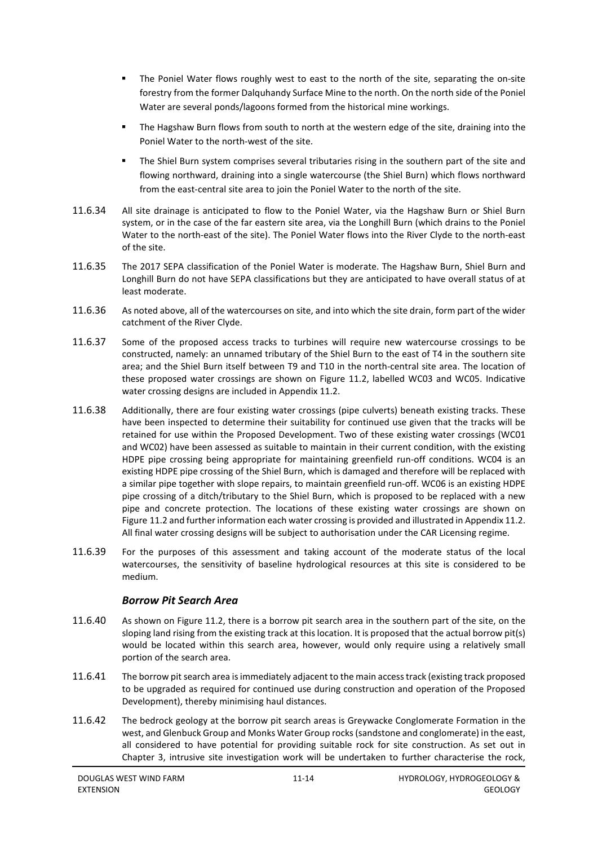- The Poniel Water flows roughly west to east to the north of the site, separating the on-site forestry from the former Dalquhandy Surface Mine to the north. On the north side of the Poniel Water are several ponds/lagoons formed from the historical mine workings.
- **The Hagshaw Burn flows from south to north at the western edge of the site, draining into the** Poniel Water to the north-west of the site.
- The Shiel Burn system comprises several tributaries rising in the southern part of the site and flowing northward, draining into a single watercourse (the Shiel Burn) which flows northward from the east-central site area to join the Poniel Water to the north of the site.
- 11.6.34 All site drainage is anticipated to flow to the Poniel Water, via the Hagshaw Burn or Shiel Burn system, or in the case of the far eastern site area, via the Longhill Burn (which drains to the Poniel Water to the north-east of the site). The Poniel Water flows into the River Clyde to the north-east of the site.
- 11.6.35 The 2017 SEPA classification of the Poniel Water is moderate. The Hagshaw Burn, Shiel Burn and Longhill Burn do not have SEPA classifications but they are anticipated to have overall status of at least moderate.
- 11.6.36 As noted above, all of the watercourses on site, and into which the site drain, form part of the wider catchment of the River Clyde.
- 11.6.37 Some of the proposed access tracks to turbines will require new watercourse crossings to be constructed, namely: an unnamed tributary of the Shiel Burn to the east of T4 in the southern site area; and the Shiel Burn itself between T9 and T10 in the north-central site area. The location of these proposed water crossings are shown on Figure 11.2, labelled WC03 and WC05. Indicative water crossing designs are included in Appendix 11.2.
- 11.6.38 Additionally, there are four existing water crossings (pipe culverts) beneath existing tracks. These have been inspected to determine their suitability for continued use given that the tracks will be retained for use within the Proposed Development. Two of these existing water crossings (WC01 and WC02) have been assessed as suitable to maintain in their current condition, with the existing HDPE pipe crossing being appropriate for maintaining greenfield run-off conditions. WC04 is an existing HDPE pipe crossing of the Shiel Burn, which is damaged and therefore will be replaced with a similar pipe together with slope repairs, to maintain greenfield run-off. WC06 is an existing HDPE pipe crossing of a ditch/tributary to the Shiel Burn, which is proposed to be replaced with a new pipe and concrete protection. The locations of these existing water crossings are shown on Figure 11.2 and further information each water crossing is provided and illustrated in Appendix 11.2. All final water crossing designs will be subject to authorisation under the CAR Licensing regime.
- 11.6.39 For the purposes of this assessment and taking account of the moderate status of the local watercourses, the sensitivity of baseline hydrological resources at this site is considered to be medium.

#### *Borrow Pit Search Area*

- 11.6.40 As shown on Figure 11.2, there is a borrow pit search area in the southern part of the site, on the sloping land rising from the existing track at this location. It is proposed that the actual borrow pit(s) would be located within this search area, however, would only require using a relatively small portion of the search area.
- 11.6.41 The borrow pit search area is immediately adjacent to the main access track (existing track proposed to be upgraded as required for continued use during construction and operation of the Proposed Development), thereby minimising haul distances.
- 11.6.42 The bedrock geology at the borrow pit search areas is Greywacke Conglomerate Formation in the west, and Glenbuck Group and Monks Water Group rocks (sandstone and conglomerate) in the east, all considered to have potential for providing suitable rock for site construction. As set out in Chapter 3, intrusive site investigation work will be undertaken to further characterise the rock,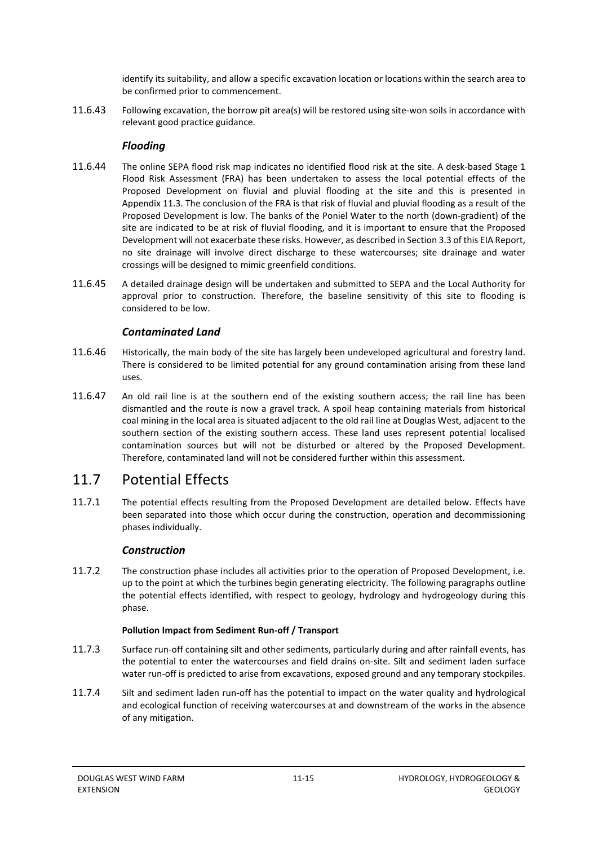identify its suitability, and allow a specific excavation location or locations within the search area to be confirmed prior to commencement.

11.6.43 Following excavation, the borrow pit area(s) will be restored using site-won soils in accordance with relevant good practice guidance.

# *Flooding*

- 11.6.44 The online SEPA flood risk map indicates no identified flood risk at the site. A desk-based Stage 1 Flood Risk Assessment (FRA) has been undertaken to assess the local potential effects of the Proposed Development on fluvial and pluvial flooding at the site and this is presented in Appendix 11.3. The conclusion of the FRA is that risk of fluvial and pluvial flooding as a result of the Proposed Development is low. The banks of the Poniel Water to the north (down-gradient) of the site are indicated to be at risk of fluvial flooding, and it is important to ensure that the Proposed Development will not exacerbate these risks. However, as described in Section 3.3 of this EIA Report, no site drainage will involve direct discharge to these watercourses; site drainage and water crossings will be designed to mimic greenfield conditions.
- 11.6.45 A detailed drainage design will be undertaken and submitted to SEPA and the Local Authority for approval prior to construction. Therefore, the baseline sensitivity of this site to flooding is considered to be low.

# *Contaminated Land*

- 11.6.46 Historically, the main body of the site has largely been undeveloped agricultural and forestry land. There is considered to be limited potential for any ground contamination arising from these land uses.
- 11.6.47 An old rail line is at the southern end of the existing southern access; the rail line has been dismantled and the route is now a gravel track. A spoil heap containing materials from historical coal mining in the local area is situated adjacent to the old rail line at Douglas West, adjacent to the southern section of the existing southern access. These land uses represent potential localised contamination sources but will not be disturbed or altered by the Proposed Development. Therefore, contaminated land will not be considered further within this assessment.

# <span id="page-16-0"></span>11.7 Potential Effects

11.7.1 The potential effects resulting from the Proposed Development are detailed below. Effects have been separated into those which occur during the construction, operation and decommissioning phases individually.

# *Construction*

11.7.2 The construction phase includes all activities prior to the operation of Proposed Development, i.e. up to the point at which the turbines begin generating electricity. The following paragraphs outline the potential effects identified, with respect to geology, hydrology and hydrogeology during this phase.

# **Pollution Impact from Sediment Run-off / Transport**

- 11.7.3 Surface run-off containing silt and other sediments, particularly during and after rainfall events, has the potential to enter the watercourses and field drains on-site. Silt and sediment laden surface water run-off is predicted to arise from excavations, exposed ground and any temporary stockpiles.
- 11.7.4 Silt and sediment laden run-off has the potential to impact on the water quality and hydrological and ecological function of receiving watercourses at and downstream of the works in the absence of any mitigation.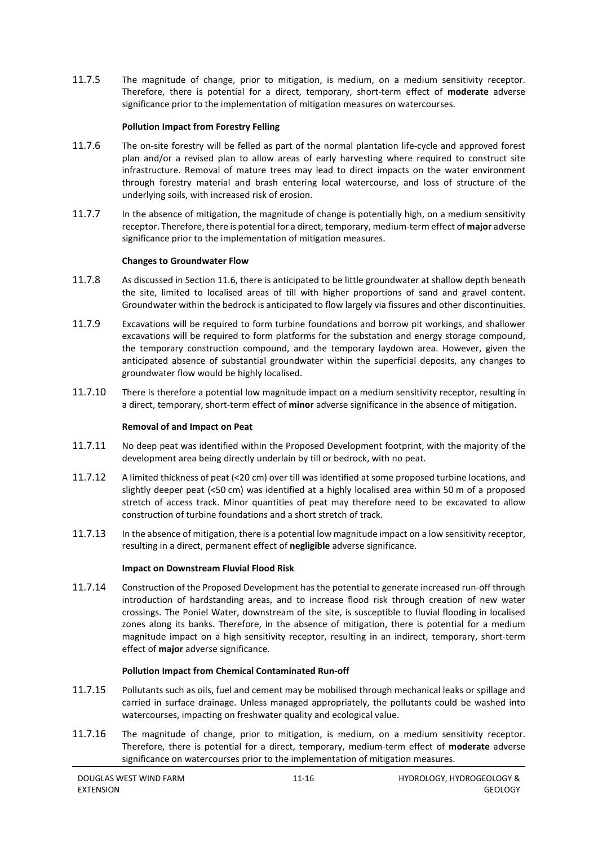11.7.5 The magnitude of change, prior to mitigation, is medium, on a medium sensitivity receptor. Therefore, there is potential for a direct, temporary, short-term effect of **moderate** adverse significance prior to the implementation of mitigation measures on watercourses.

#### **Pollution Impact from Forestry Felling**

- 11.7.6 The on-site forestry will be felled as part of the normal plantation life-cycle and approved forest plan and/or a revised plan to allow areas of early harvesting where required to construct site infrastructure. Removal of mature trees may lead to direct impacts on the water environment through forestry material and brash entering local watercourse, and loss of structure of the underlying soils, with increased risk of erosion.
- 11.7.7 In the absence of mitigation, the magnitude of change is potentially high, on a medium sensitivity receptor. Therefore, there is potential for a direct, temporary, medium-term effect of **major** adverse significance prior to the implementation of mitigation measures.

#### **Changes to Groundwater Flow**

- 11.7.8 As discussed in Section 11.6, there is anticipated to be little groundwater at shallow depth beneath the site, limited to localised areas of till with higher proportions of sand and gravel content. Groundwater within the bedrock is anticipated to flow largely via fissures and other discontinuities.
- 11.7.9 Excavations will be required to form turbine foundations and borrow pit workings, and shallower excavations will be required to form platforms for the substation and energy storage compound, the temporary construction compound, and the temporary laydown area. However, given the anticipated absence of substantial groundwater within the superficial deposits, any changes to groundwater flow would be highly localised.
- 11.7.10 There is therefore a potential low magnitude impact on a medium sensitivity receptor, resulting in a direct, temporary, short-term effect of **minor** adverse significance in the absence of mitigation.

#### **Removal of and Impact on Peat**

- 11.7.11 No deep peat was identified within the Proposed Development footprint, with the majority of the development area being directly underlain by till or bedrock, with no peat.
- 11.7.12 A limited thickness of peat (<20 cm) over till was identified at some proposed turbine locations, and slightly deeper peat (<50 cm) was identified at a highly localised area within 50 m of a proposed stretch of access track. Minor quantities of peat may therefore need to be excavated to allow construction of turbine foundations and a short stretch of track.
- 11.7.13 In the absence of mitigation, there is a potential low magnitude impact on a low sensitivity receptor, resulting in a direct, permanent effect of **negligible** adverse significance.

#### **Impact on Downstream Fluvial Flood Risk**

11.7.14 Construction of the Proposed Development has the potential to generate increased run-off through introduction of hardstanding areas, and to increase flood risk through creation of new water crossings. The Poniel Water, downstream of the site, is susceptible to fluvial flooding in localised zones along its banks. Therefore, in the absence of mitigation, there is potential for a medium magnitude impact on a high sensitivity receptor, resulting in an indirect, temporary, short-term effect of **major** adverse significance.

#### **Pollution Impact from Chemical Contaminated Run-off**

- 11.7.15 Pollutants such as oils, fuel and cement may be mobilised through mechanical leaks or spillage and carried in surface drainage. Unless managed appropriately, the pollutants could be washed into watercourses, impacting on freshwater quality and ecological value.
- 11.7.16 The magnitude of change, prior to mitigation, is medium, on a medium sensitivity receptor. Therefore, there is potential for a direct, temporary, medium-term effect of **moderate** adverse significance on watercourses prior to the implementation of mitigation measures.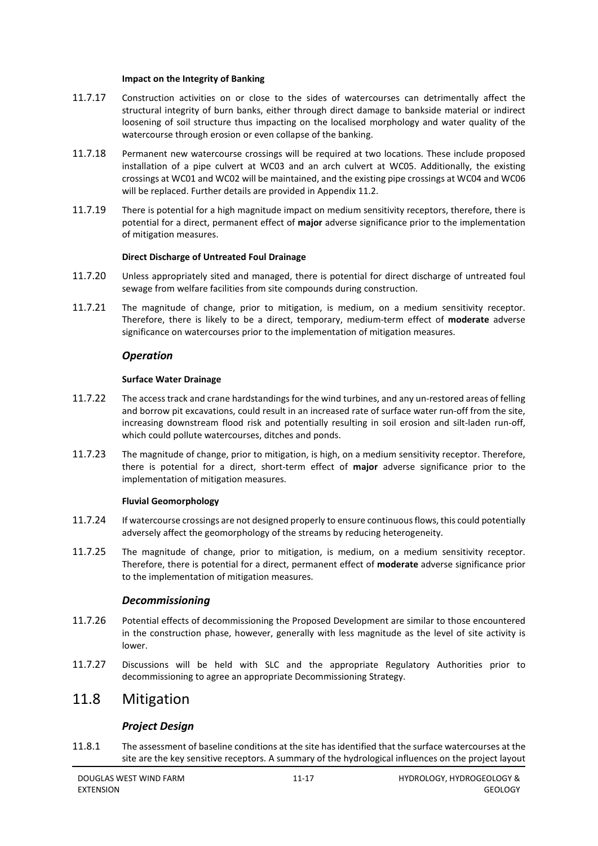#### **Impact on the Integrity of Banking**

- 11.7.17 Construction activities on or close to the sides of watercourses can detrimentally affect the structural integrity of burn banks, either through direct damage to bankside material or indirect loosening of soil structure thus impacting on the localised morphology and water quality of the watercourse through erosion or even collapse of the banking.
- 11.7.18 Permanent new watercourse crossings will be required at two locations. These include proposed installation of a pipe culvert at WC03 and an arch culvert at WC05. Additionally, the existing crossings at WC01 and WC02 will be maintained, and the existing pipe crossings at WC04 and WC06 will be replaced. Further details are provided in Appendix 11.2.
- 11.7.19 There is potential for a high magnitude impact on medium sensitivity receptors, therefore, there is potential for a direct, permanent effect of **major** adverse significance prior to the implementation of mitigation measures.

#### **Direct Discharge of Untreated Foul Drainage**

- 11.7.20 Unless appropriately sited and managed, there is potential for direct discharge of untreated foul sewage from welfare facilities from site compounds during construction.
- 11.7.21 The magnitude of change, prior to mitigation, is medium, on a medium sensitivity receptor. Therefore, there is likely to be a direct, temporary, medium-term effect of **moderate** adverse significance on watercourses prior to the implementation of mitigation measures.

### *Operation*

#### **Surface Water Drainage**

- 11.7.22 The access track and crane hardstandings for the wind turbines, and any un-restored areas of felling and borrow pit excavations, could result in an increased rate of surface water run-off from the site, increasing downstream flood risk and potentially resulting in soil erosion and silt-laden run-off, which could pollute watercourses, ditches and ponds.
- 11.7.23 The magnitude of change, prior to mitigation, is high, on a medium sensitivity receptor. Therefore, there is potential for a direct, short-term effect of **major** adverse significance prior to the implementation of mitigation measures.

#### **Fluvial Geomorphology**

- 11.7.24 If watercourse crossings are not designed properly to ensure continuous flows, this could potentially adversely affect the geomorphology of the streams by reducing heterogeneity.
- 11.7.25 The magnitude of change, prior to mitigation, is medium, on a medium sensitivity receptor. Therefore, there is potential for a direct, permanent effect of **moderate** adverse significance prior to the implementation of mitigation measures.

# *Decommissioning*

- 11.7.26 Potential effects of decommissioning the Proposed Development are similar to those encountered in the construction phase, however, generally with less magnitude as the level of site activity is lower.
- 11.7.27 Discussions will be held with SLC and the appropriate Regulatory Authorities prior to decommissioning to agree an appropriate Decommissioning Strategy.

# <span id="page-18-0"></span>11.8 Mitigation

# *Project Design*

11.8.1 The assessment of baseline conditions at the site has identified that the surface watercourses at the site are the key sensitive receptors. A summary of the hydrological influences on the project layout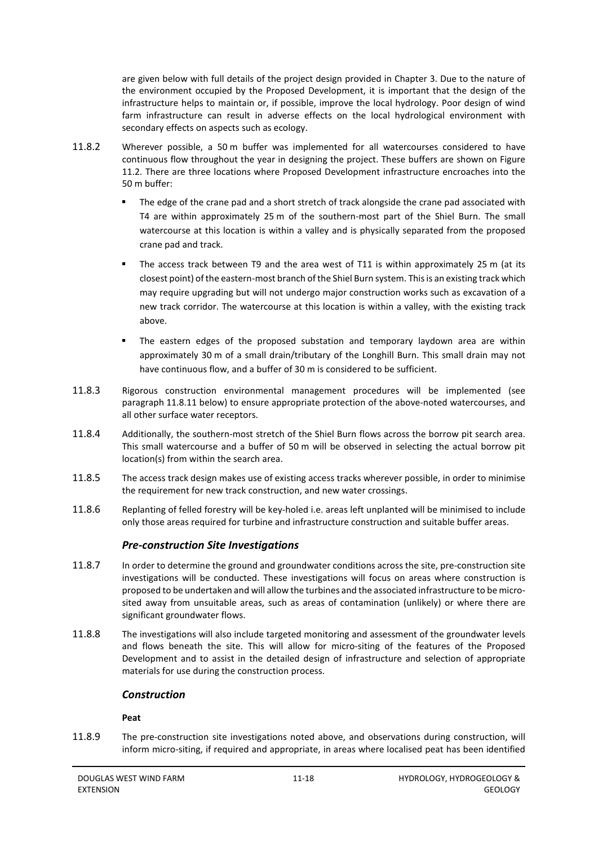are given below with full details of the project design provided in Chapter 3. Due to the nature of the environment occupied by the Proposed Development, it is important that the design of the infrastructure helps to maintain or, if possible, improve the local hydrology. Poor design of wind farm infrastructure can result in adverse effects on the local hydrological environment with secondary effects on aspects such as ecology.

- 11.8.2 Wherever possible, a 50 m buffer was implemented for all watercourses considered to have continuous flow throughout the year in designing the project. These buffers are shown on Figure 11.2. There are three locations where Proposed Development infrastructure encroaches into the 50 m buffer:
	- The edge of the crane pad and a short stretch of track alongside the crane pad associated with T4 are within approximately 25 m of the southern-most part of the Shiel Burn. The small watercourse at this location is within a valley and is physically separated from the proposed crane pad and track.
	- The access track between T9 and the area west of T11 is within approximately 25 m (at its closest point) of the eastern-most branch of the Shiel Burn system. This is an existing track which may require upgrading but will not undergo major construction works such as excavation of a new track corridor. The watercourse at this location is within a valley, with the existing track above.
	- The eastern edges of the proposed substation and temporary laydown area are within approximately 30 m of a small drain/tributary of the Longhill Burn. This small drain may not have continuous flow, and a buffer of 30 m is considered to be sufficient.
- 11.8.3 Rigorous construction environmental management procedures will be implemented (see paragraph 11.8.11 below) to ensure appropriate protection of the above-noted watercourses, and all other surface water receptors.
- 11.8.4 Additionally, the southern-most stretch of the Shiel Burn flows across the borrow pit search area. This small watercourse and a buffer of 50 m will be observed in selecting the actual borrow pit location(s) from within the search area.
- 11.8.5 The access track design makes use of existing access tracks wherever possible, in order to minimise the requirement for new track construction, and new water crossings.
- 11.8.6 Replanting of felled forestry will be key-holed i.e. areas left unplanted will be minimised to include only those areas required for turbine and infrastructure construction and suitable buffer areas.

# *Pre-construction Site Investigations*

- 11.8.7 In order to determine the ground and groundwater conditions across the site, pre-construction site investigations will be conducted. These investigations will focus on areas where construction is proposed to be undertaken and will allow the turbines and the associated infrastructure to be microsited away from unsuitable areas, such as areas of contamination (unlikely) or where there are significant groundwater flows.
- 11.8.8 The investigations will also include targeted monitoring and assessment of the groundwater levels and flows beneath the site. This will allow for micro-siting of the features of the Proposed Development and to assist in the detailed design of infrastructure and selection of appropriate materials for use during the construction process.

# *Construction*

**Peat**

11.8.9 The pre-construction site investigations noted above, and observations during construction, will inform micro-siting, if required and appropriate, in areas where localised peat has been identified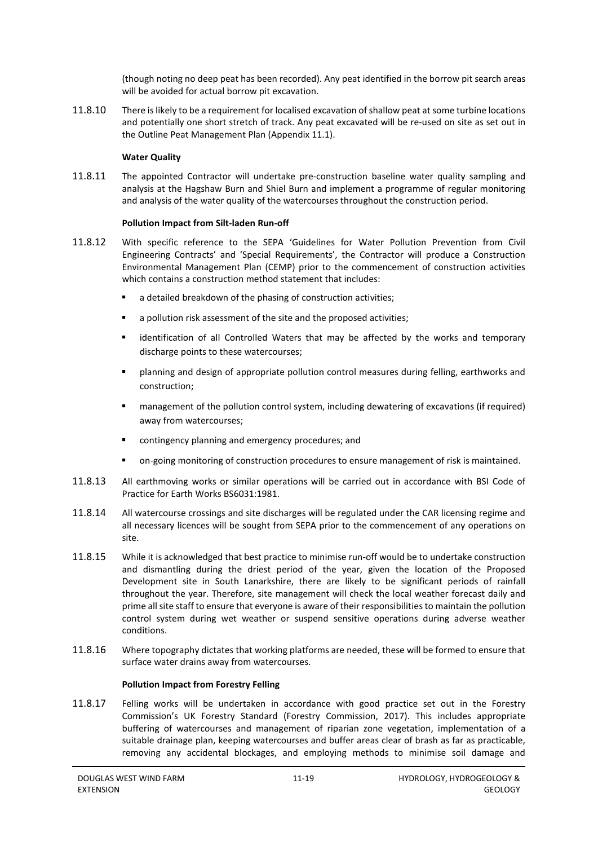(though noting no deep peat has been recorded). Any peat identified in the borrow pit search areas will be avoided for actual borrow pit excavation.

11.8.10 There is likely to be a requirement for localised excavation of shallow peat at some turbine locations and potentially one short stretch of track. Any peat excavated will be re-used on site as set out in the Outline Peat Management Plan (Appendix 11.1).

#### **Water Quality**

11.8.11 The appointed Contractor will undertake pre-construction baseline water quality sampling and analysis at the Hagshaw Burn and Shiel Burn and implement a programme of regular monitoring and analysis of the water quality of the watercourses throughout the construction period.

#### **Pollution Impact from Silt-laden Run-off**

- 11.8.12 With specific reference to the SEPA 'Guidelines for Water Pollution Prevention from Civil Engineering Contracts' and 'Special Requirements', the Contractor will produce a Construction Environmental Management Plan (CEMP) prior to the commencement of construction activities which contains a construction method statement that includes:
	- **a** detailed breakdown of the phasing of construction activities;
	- **a** a pollution risk assessment of the site and the proposed activities;
	- identification of all Controlled Waters that may be affected by the works and temporary discharge points to these watercourses;
	- planning and design of appropriate pollution control measures during felling, earthworks and construction;
	- management of the pollution control system, including dewatering of excavations (if required) away from watercourses;
	- contingency planning and emergency procedures; and
	- on-going monitoring of construction procedures to ensure management of risk is maintained.
- 11.8.13 All earthmoving works or similar operations will be carried out in accordance with BSI Code of Practice for Earth Works BS6031:1981.
- 11.8.14 All watercourse crossings and site discharges will be regulated under the CAR licensing regime and all necessary licences will be sought from SEPA prior to the commencement of any operations on site.
- 11.8.15 While it is acknowledged that best practice to minimise run-off would be to undertake construction and dismantling during the driest period of the year, given the location of the Proposed Development site in South Lanarkshire, there are likely to be significant periods of rainfall throughout the year. Therefore, site management will check the local weather forecast daily and prime all site staff to ensure that everyone is aware of their responsibilities to maintain the pollution control system during wet weather or suspend sensitive operations during adverse weather conditions.
- 11.8.16 Where topography dictates that working platforms are needed, these will be formed to ensure that surface water drains away from watercourses.

#### **Pollution Impact from Forestry Felling**

11.8.17 Felling works will be undertaken in accordance with good practice set out in the Forestry Commission's UK Forestry Standard (Forestry Commission, 2017). This includes appropriate buffering of watercourses and management of riparian zone vegetation, implementation of a suitable drainage plan, keeping watercourses and buffer areas clear of brash as far as practicable, removing any accidental blockages, and employing methods to minimise soil damage and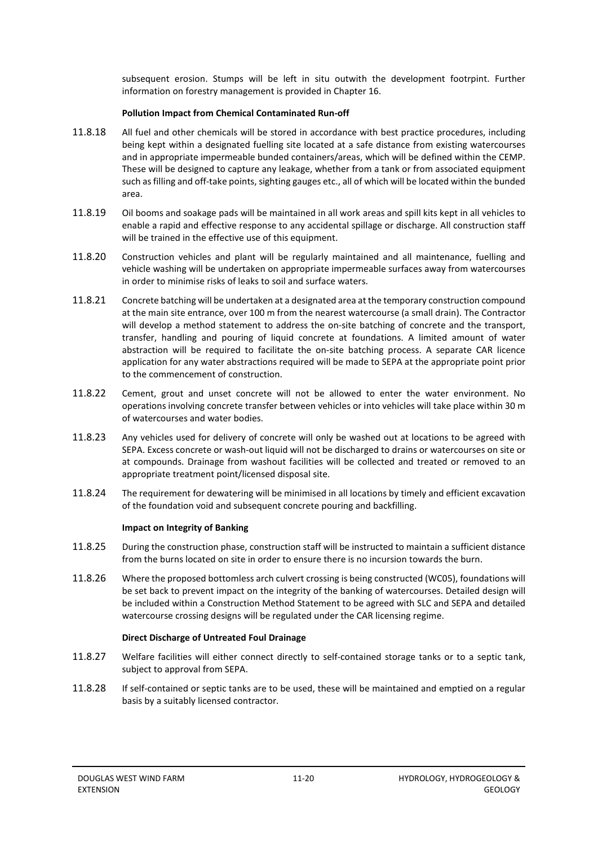subsequent erosion. Stumps will be left in situ outwith the development footrpint. Further information on forestry management is provided in Chapter 16.

#### **Pollution Impact from Chemical Contaminated Run-off**

- 11.8.18 All fuel and other chemicals will be stored in accordance with best practice procedures, including being kept within a designated fuelling site located at a safe distance from existing watercourses and in appropriate impermeable bunded containers/areas, which will be defined within the CEMP. These will be designed to capture any leakage, whether from a tank or from associated equipment such as filling and off-take points, sighting gauges etc., all of which will be located within the bunded area.
- 11.8.19 Oil booms and soakage pads will be maintained in all work areas and spill kits kept in all vehicles to enable a rapid and effective response to any accidental spillage or discharge. All construction staff will be trained in the effective use of this equipment.
- 11.8.20 Construction vehicles and plant will be regularly maintained and all maintenance, fuelling and vehicle washing will be undertaken on appropriate impermeable surfaces away from watercourses in order to minimise risks of leaks to soil and surface waters.
- 11.8.21 Concrete batching will be undertaken at a designated area at the temporary construction compound at the main site entrance, over 100 m from the nearest watercourse (a small drain). The Contractor will develop a method statement to address the on-site batching of concrete and the transport, transfer, handling and pouring of liquid concrete at foundations. A limited amount of water abstraction will be required to facilitate the on-site batching process. A separate CAR licence application for any water abstractions required will be made to SEPA at the appropriate point prior to the commencement of construction.
- 11.8.22 Cement, grout and unset concrete will not be allowed to enter the water environment. No operations involving concrete transfer between vehicles or into vehicles will take place within 30 m of watercourses and water bodies.
- 11.8.23 Any vehicles used for delivery of concrete will only be washed out at locations to be agreed with SEPA. Excess concrete or wash-out liquid will not be discharged to drains or watercourses on site or at compounds. Drainage from washout facilities will be collected and treated or removed to an appropriate treatment point/licensed disposal site.
- 11.8.24 The requirement for dewatering will be minimised in all locations by timely and efficient excavation of the foundation void and subsequent concrete pouring and backfilling.

#### **Impact on Integrity of Banking**

- 11.8.25 During the construction phase, construction staff will be instructed to maintain a sufficient distance from the burns located on site in order to ensure there is no incursion towards the burn.
- 11.8.26 Where the proposed bottomless arch culvert crossing is being constructed (WC05), foundations will be set back to prevent impact on the integrity of the banking of watercourses. Detailed design will be included within a Construction Method Statement to be agreed with SLC and SEPA and detailed watercourse crossing designs will be regulated under the CAR licensing regime.

#### **Direct Discharge of Untreated Foul Drainage**

- 11.8.27 Welfare facilities will either connect directly to self-contained storage tanks or to a septic tank, subject to approval from SEPA.
- 11.8.28 If self-contained or septic tanks are to be used, these will be maintained and emptied on a regular basis by a suitably licensed contractor.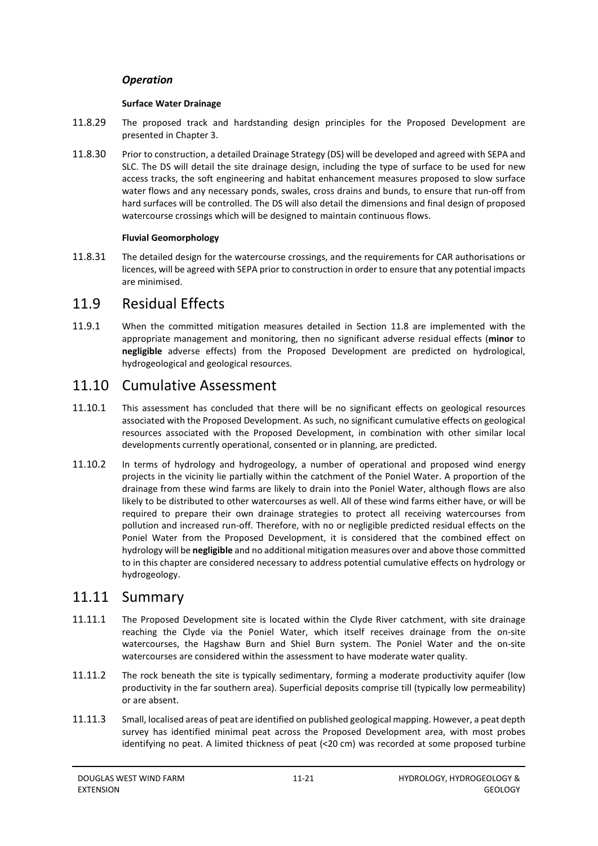# *Operation*

### **Surface Water Drainage**

- 11.8.29 The proposed track and hardstanding design principles for the Proposed Development are presented in Chapter 3.
- 11.8.30 Prior to construction, a detailed Drainage Strategy (DS) will be developed and agreed with SEPA and SLC. The DS will detail the site drainage design, including the type of surface to be used for new access tracks, the soft engineering and habitat enhancement measures proposed to slow surface water flows and any necessary ponds, swales, cross drains and bunds, to ensure that run-off from hard surfaces will be controlled. The DS will also detail the dimensions and final design of proposed watercourse crossings which will be designed to maintain continuous flows.

# **Fluvial Geomorphology**

11.8.31 The detailed design for the watercourse crossings, and the requirements for CAR authorisations or licences, will be agreed with SEPA prior to construction in order to ensure that any potential impacts are minimised.

# <span id="page-22-0"></span>11.9 Residual Effects

11.9.1 When the committed mitigation measures detailed in Section 11.8 are implemented with the appropriate management and monitoring, then no significant adverse residual effects (**minor** to **negligible** adverse effects) from the Proposed Development are predicted on hydrological, hydrogeological and geological resources.

# <span id="page-22-1"></span>11.10 Cumulative Assessment

- 11.10.1 This assessment has concluded that there will be no significant effects on geological resources associated with the Proposed Development. As such, no significant cumulative effects on geological resources associated with the Proposed Development, in combination with other similar local developments currently operational, consented or in planning, are predicted.
- 11.10.2 In terms of hydrology and hydrogeology, a number of operational and proposed wind energy projects in the vicinity lie partially within the catchment of the Poniel Water. A proportion of the drainage from these wind farms are likely to drain into the Poniel Water, although flows are also likely to be distributed to other watercourses as well. All of these wind farms either have, or will be required to prepare their own drainage strategies to protect all receiving watercourses from pollution and increased run-off. Therefore, with no or negligible predicted residual effects on the Poniel Water from the Proposed Development, it is considered that the combined effect on hydrology will be **negligible** and no additional mitigation measures over and above those committed to in this chapter are considered necessary to address potential cumulative effects on hydrology or hydrogeology.

# <span id="page-22-2"></span>11.11 Summary

- 11.11.1 The Proposed Development site is located within the Clyde River catchment, with site drainage reaching the Clyde via the Poniel Water, which itself receives drainage from the on-site watercourses, the Hagshaw Burn and Shiel Burn system. The Poniel Water and the on-site watercourses are considered within the assessment to have moderate water quality.
- 11.11.2 The rock beneath the site is typically sedimentary, forming a moderate productivity aquifer (low productivity in the far southern area). Superficial deposits comprise till (typically low permeability) or are absent.
- 11.11.3 Small, localised areas of peat are identified on published geological mapping. However, a peat depth survey has identified minimal peat across the Proposed Development area, with most probes identifying no peat. A limited thickness of peat (<20 cm) was recorded at some proposed turbine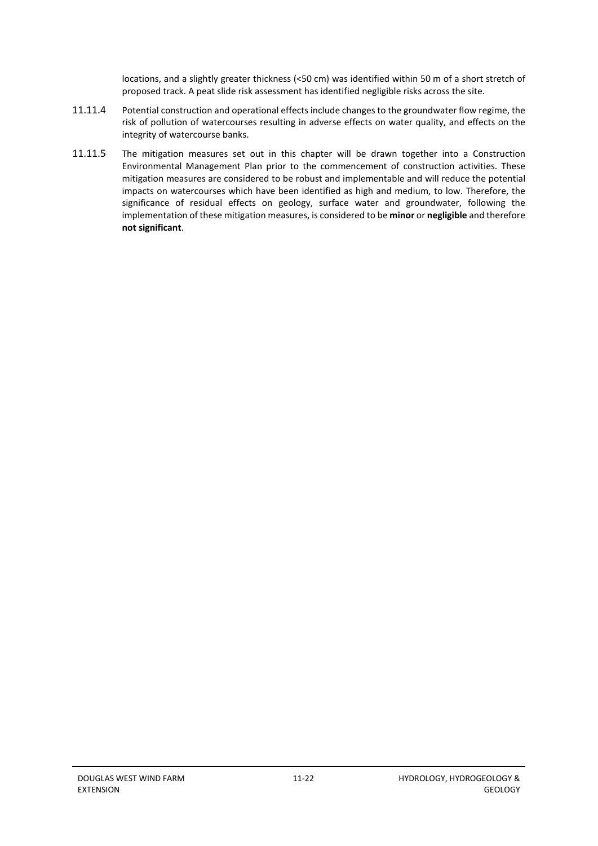locations, and a slightly greater thickness (<50 cm) was identified within 50 m of a short stretch of proposed track. A peat slide risk assessment has identified negligible risks across the site.

- 11.11.4 Potential construction and operational effects include changes to the groundwater flow regime, the risk of pollution of watercourses resulting in adverse effects on water quality, and effects on the integrity of watercourse banks.
- 11.11.5 The mitigation measures set out in this chapter will be drawn together into a Construction Environmental Management Plan prior to the commencement of construction activities. These mitigation measures are considered to be robust and implementable and will reduce the potential impacts on watercourses which have been identified as high and medium, to low. Therefore, the significance of residual effects on geology, surface water and groundwater, following the implementation of these mitigation measures, is considered to be **minor** or **negligible** and therefore **not significant**.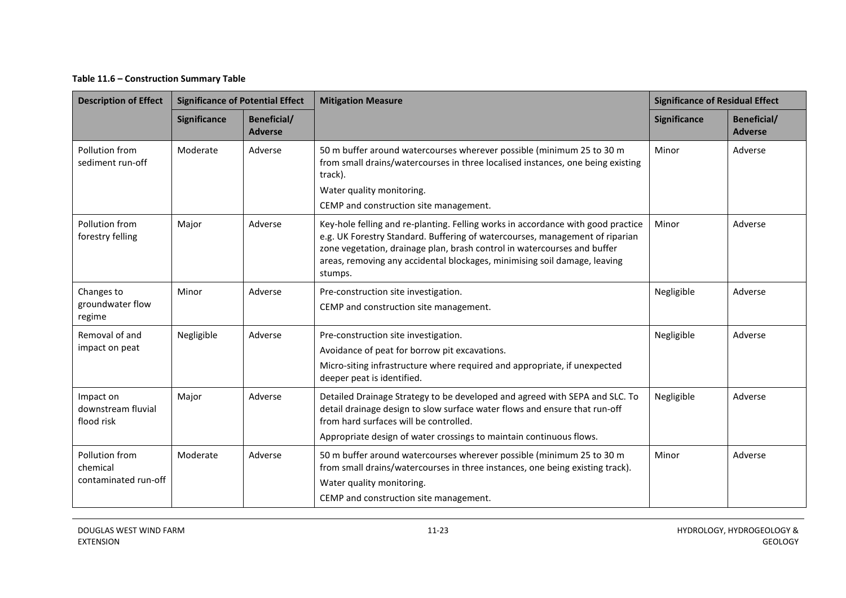#### **Table 11.6 – Construction Summary Table**

| <b>Description of Effect</b>                       |                     | <b>Significance of Potential Effect</b><br><b>Mitigation Measure</b> |                                                                                                                                                                                                                                                                                                                                      | <b>Significance of Residual Effect</b> |                                      |
|----------------------------------------------------|---------------------|----------------------------------------------------------------------|--------------------------------------------------------------------------------------------------------------------------------------------------------------------------------------------------------------------------------------------------------------------------------------------------------------------------------------|----------------------------------------|--------------------------------------|
|                                                    | <b>Significance</b> | <b>Beneficial/</b><br><b>Adverse</b>                                 |                                                                                                                                                                                                                                                                                                                                      | Significance                           | <b>Beneficial/</b><br><b>Adverse</b> |
| Pollution from<br>sediment run-off                 | Moderate            | Adverse                                                              | 50 m buffer around watercourses wherever possible (minimum 25 to 30 m<br>from small drains/watercourses in three localised instances, one being existing<br>track).<br>Water quality monitoring.<br>CEMP and construction site management.                                                                                           | Minor                                  | Adverse                              |
| Pollution from<br>forestry felling                 | Major               | Adverse                                                              | Key-hole felling and re-planting. Felling works in accordance with good practice<br>e.g. UK Forestry Standard. Buffering of watercourses, management of riparian<br>zone vegetation, drainage plan, brash control in watercourses and buffer<br>areas, removing any accidental blockages, minimising soil damage, leaving<br>stumps. | Minor                                  | Adverse                              |
| Changes to<br>groundwater flow<br>regime           | Minor               | Adverse                                                              | Pre-construction site investigation.<br>CEMP and construction site management.                                                                                                                                                                                                                                                       | Negligible                             | Adverse                              |
| Removal of and<br>impact on peat                   | Negligible          | Adverse                                                              | Pre-construction site investigation.<br>Avoidance of peat for borrow pit excavations.<br>Micro-siting infrastructure where required and appropriate, if unexpected<br>deeper peat is identified.                                                                                                                                     | Negligible                             | Adverse                              |
| Impact on<br>downstream fluvial<br>flood risk      | Major               | Adverse                                                              | Detailed Drainage Strategy to be developed and agreed with SEPA and SLC. To<br>detail drainage design to slow surface water flows and ensure that run-off<br>from hard surfaces will be controlled.<br>Appropriate design of water crossings to maintain continuous flows.                                                           | Negligible                             | Adverse                              |
| Pollution from<br>chemical<br>contaminated run-off | Moderate            | Adverse                                                              | 50 m buffer around watercourses wherever possible (minimum 25 to 30 m<br>from small drains/watercourses in three instances, one being existing track).<br>Water quality monitoring.<br>CEMP and construction site management.                                                                                                        | Minor                                  | Adverse                              |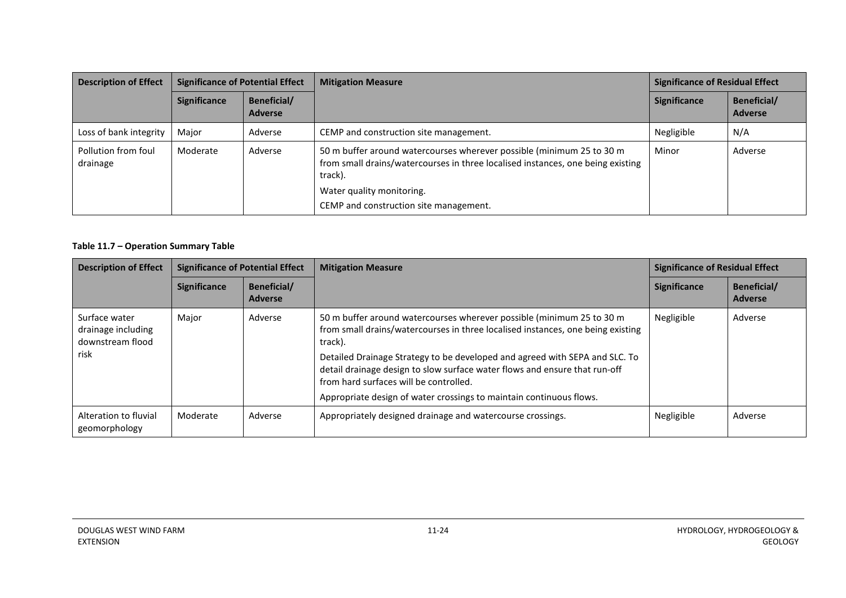| <b>Description of Effect</b>    | <b>Significance of Potential Effect</b> |                               | <b>Mitigation Measure</b>                                                                                                                                                                                                                  | <b>Significance of Residual Effect</b> |                               |
|---------------------------------|-----------------------------------------|-------------------------------|--------------------------------------------------------------------------------------------------------------------------------------------------------------------------------------------------------------------------------------------|----------------------------------------|-------------------------------|
|                                 | <b>Significance</b>                     | Beneficial/<br><b>Adverse</b> |                                                                                                                                                                                                                                            | Significance                           | Beneficial/<br><b>Adverse</b> |
| Loss of bank integrity          | Major                                   | Adverse                       | CEMP and construction site management.                                                                                                                                                                                                     | Negligible                             | N/A                           |
| Pollution from foul<br>drainage | Moderate                                | Adverse                       | 50 m buffer around watercourses wherever possible (minimum 25 to 30 m<br>from small drains/watercourses in three localised instances, one being existing<br>track).<br>Water quality monitoring.<br>CEMP and construction site management. | Minor                                  | Adverse                       |

# **Table 11.7 – Operation Summary Table**

| <b>Description of Effect</b>                                    | <b>Significance of Potential Effect</b> |                               | <b>Mitigation Measure</b>                                                                                                                                                                                                                                                                                                                                                                                                                         | <b>Significance of Residual Effect</b> |                                      |
|-----------------------------------------------------------------|-----------------------------------------|-------------------------------|---------------------------------------------------------------------------------------------------------------------------------------------------------------------------------------------------------------------------------------------------------------------------------------------------------------------------------------------------------------------------------------------------------------------------------------------------|----------------------------------------|--------------------------------------|
|                                                                 | Significance                            | Beneficial/<br><b>Adverse</b> |                                                                                                                                                                                                                                                                                                                                                                                                                                                   | Significance                           | <b>Beneficial/</b><br><b>Adverse</b> |
| Surface water<br>drainage including<br>downstream flood<br>risk | Major                                   | Adverse                       | 50 m buffer around watercourses wherever possible (minimum 25 to 30 m<br>from small drains/watercourses in three localised instances, one being existing<br>track).<br>Detailed Drainage Strategy to be developed and agreed with SEPA and SLC. To<br>detail drainage design to slow surface water flows and ensure that run-off<br>from hard surfaces will be controlled.<br>Appropriate design of water crossings to maintain continuous flows. | Negligible                             | Adverse                              |
| Alteration to fluvial<br>geomorphology                          | Moderate                                | Adverse                       | Appropriately designed drainage and watercourse crossings.                                                                                                                                                                                                                                                                                                                                                                                        | Negligible                             | Adverse                              |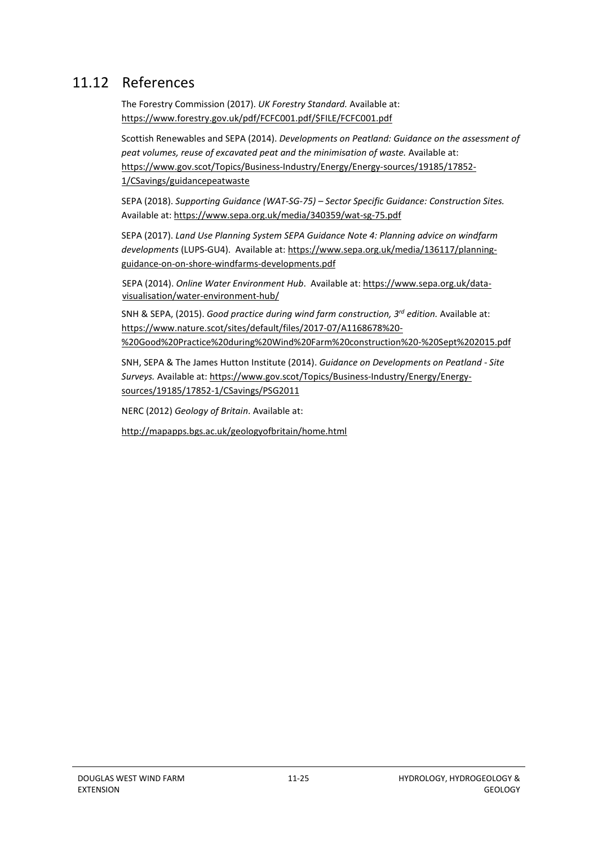# <span id="page-26-0"></span>11.12 References

The Forestry Commission (2017). *UK Forestry Standard.* Available at: [https://www.forestry.gov.uk/pdf/FCFC001.pdf/\\$FILE/FCFC001.pdf](https://www.forestry.gov.uk/pdf/FCFC001.pdf/$FILE/FCFC001.pdf)

Scottish Renewables and SEPA (2014). *Developments on Peatland: Guidance on the assessment of peat volumes, reuse of excavated peat and the minimisation of waste.* Available at: [https://www.gov.scot/Topics/Business-Industry/Energy/Energy-sources/19185/17852-](https://www.gov.scot/Topics/Business-Industry/Energy/Energy-sources/19185/17852-1/CSavings/guidancepeatwaste) [1/CSavings/guidancepeatwaste](https://www.gov.scot/Topics/Business-Industry/Energy/Energy-sources/19185/17852-1/CSavings/guidancepeatwaste)

SEPA (2018). *Supporting Guidance (WAT-SG-75) – Sector Specific Guidance: Construction Sites.* Available at[: https://www.sepa.org.uk/media/340359/wat-sg-75.pdf](https://www.sepa.org.uk/media/340359/wat-sg-75.pdf)

SEPA (2017). *Land Use Planning System SEPA Guidance Note 4: Planning advice on windfarm developments* (LUPS-GU4). Available at: [https://www.sepa.org.uk/media/136117/planning](https://www.sepa.org.uk/media/136117/planning-guidance-on-on-shore-windfarms-developments.pdf)[guidance-on-on-shore-windfarms-developments.pdf](https://www.sepa.org.uk/media/136117/planning-guidance-on-on-shore-windfarms-developments.pdf)

SEPA (2014). *Online Water Environment Hub*. Available at[: https://www.sepa.org.uk/data](https://www.sepa.org.uk/data-visualisation/water-environment-hub/)[visualisation/water-environment-hub/](https://www.sepa.org.uk/data-visualisation/water-environment-hub/)

SNH & SEPA, (2015). *Good practice during wind farm construction, 3rd edition.* Available at: [https://www.nature.scot/sites/default/files/2017-07/A1168678%20-](https://www.nature.scot/sites/default/files/2017-07/A1168678%20-%20Good%20Practice%20during%20Wind%20Farm%20construction%20-%20Sept%202015.pdf) [%20Good%20Practice%20during%20Wind%20Farm%20construction%20-%20Sept%202015.pdf](https://www.nature.scot/sites/default/files/2017-07/A1168678%20-%20Good%20Practice%20during%20Wind%20Farm%20construction%20-%20Sept%202015.pdf)

SNH, SEPA & The James Hutton Institute (2014). *Guidance on Developments on Peatland - Site Surveys.* Available at: [https://www.gov.scot/Topics/Business-Industry/Energy/Energy](https://www.gov.scot/Topics/Business-Industry/Energy/Energy-sources/19185/17852-1/CSavings/PSG2011)[sources/19185/17852-1/CSavings/PSG2011](https://www.gov.scot/Topics/Business-Industry/Energy/Energy-sources/19185/17852-1/CSavings/PSG2011)

NERC (2012) *Geology of Britain*. Available at:

<http://mapapps.bgs.ac.uk/geologyofbritain/home.html>